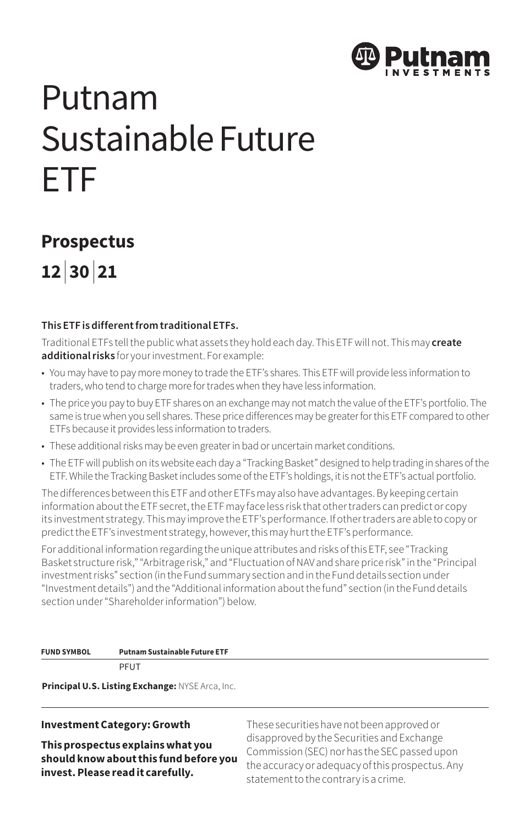

# Putnam Sustainable Future ETF

# **Prospectus 12 | 30 | 21**

#### **This ETF is different from traditional ETFs.**

Traditional ETFs tell the public what assets they hold each day. This ETF will not. This may **create additional risks** for your investment. For example:

- You may have to pay more money to trade the ETF's shares. This ETF will provide less information to traders, who tend to charge more for trades when they have less information.
- The price you pay to buy ETF shares on an exchange may not match the value of the ETF's portfolio. The same is true when you sell shares. These price differences may be greater for this ETF compared to other ETFs because it provides less information to traders.
- These additional risks may be even greater in bad or uncertain market conditions.
- The ETF will publish on its website each day a "Tracking Basket" designed to help trading in shares of the ETF. While the Tracking Basket includes some of the ETF's holdings, it is not the ETF's actual portfolio.

The differences between this ETF and other ETFs may also have advantages. By keeping certain information about the ETF secret, the ETF may face less risk that other traders can predict or copy its investment strategy. This may improve the ETF's performance. If other traders are able to copy or predict the ETF's investment strategy, however, this may hurt the ETF's performance.

For additional information regarding the unique attributes and risks of this ETF, see "Tracking Basket structure risk," "Arbitrage risk," and "Fluctuation of NAV and share price risk" in the "Principal investment risks" section (in the Fund summary section and in the Fund details section under "Investment details") and the "Additional information about the fund" section (in the Fund details section under "Shareholder information") below.

#### **FUND SYMBOL Putnam Sustainable Future ETF**

PFUT

**Principal U.S. Listing Exchange:** NYSE Arca, Inc.

#### **Investment Category: Growth**

**This prospectus explains what you should know about this fund before you invest. Please read it carefully.**

These securities have not been approved or disapproved by the Securities and Exchange Commission (SEC) nor has the SEC passed upon the accuracy or adequacy of this prospectus. Any statement to the contrary is a crime.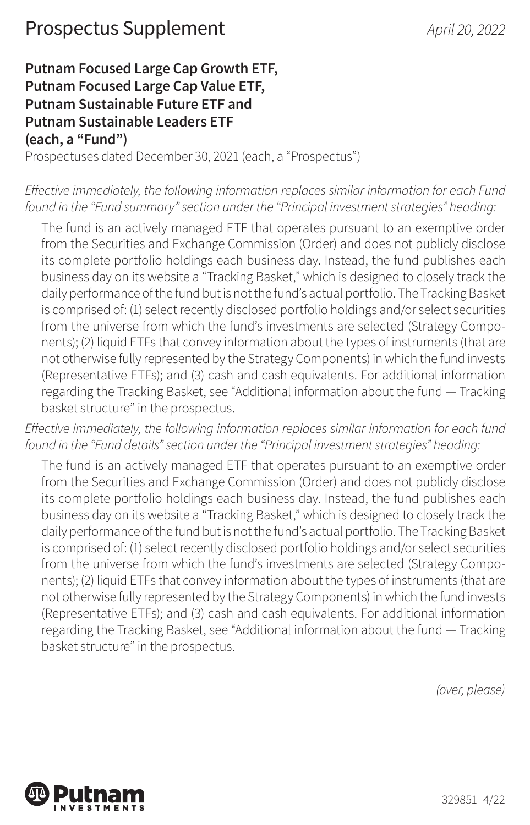# **Putnam Focused Large Cap Growth ETF, Putnam Focused Large Cap Value ETF, Putnam Sustainable Future ETF and Putnam Sustainable Leaders ETF (each, a "Fund")**

Prospectuses dated December 30, 2021 (each, a "Prospectus")

#### Effective immediately, the following information replaces similar information for each Fund found in the "Fund summary" section under the "Principal investment strategies" heading:

The fund is an actively managed ETF that operates pursuant to an exemptive order from the Securities and Exchange Commission (Order) and does not publicly disclose its complete portfolio holdings each business day. Instead, the fund publishes each business day on its website a "Tracking Basket," which is designed to closely track the daily performance of the fund but is not the fund's actual portfolio. The Tracking Basket is comprised of: (1) select recently disclosed portfolio holdings and/or select securities from the universe from which the fund's investments are selected (Strategy Components); (2) liquid ETFs that convey information about the types of instruments (that are not otherwise fully represented by the Strategy Components) in which the fund invests (Representative ETFs); and (3) cash and cash equivalents. For additional information regarding the Tracking Basket, see "Additional information about the fund — Tracking basket structure" in the prospectus.

#### Effective immediately, the following information replaces similar information for each fund found in the "Fund details" section under the "Principal investment strategies" heading:

The fund is an actively managed ETF that operates pursuant to an exemptive order from the Securities and Exchange Commission (Order) and does not publicly disclose its complete portfolio holdings each business day. Instead, the fund publishes each business day on its website a "Tracking Basket," which is designed to closely track the daily performance of the fund but is not the fund's actual portfolio. The Tracking Basket is comprised of: (1) select recently disclosed portfolio holdings and/or select securities from the universe from which the fund's investments are selected (Strategy Components); (2) liquid ETFs that convey information about the types of instruments (that are not otherwise fully represented by the Strategy Components) in which the fund invests (Representative ETFs); and (3) cash and cash equivalents. For additional information regarding the Tracking Basket, see "Additional information about the fund — Tracking basket structure" in the prospectus.

(over, please)

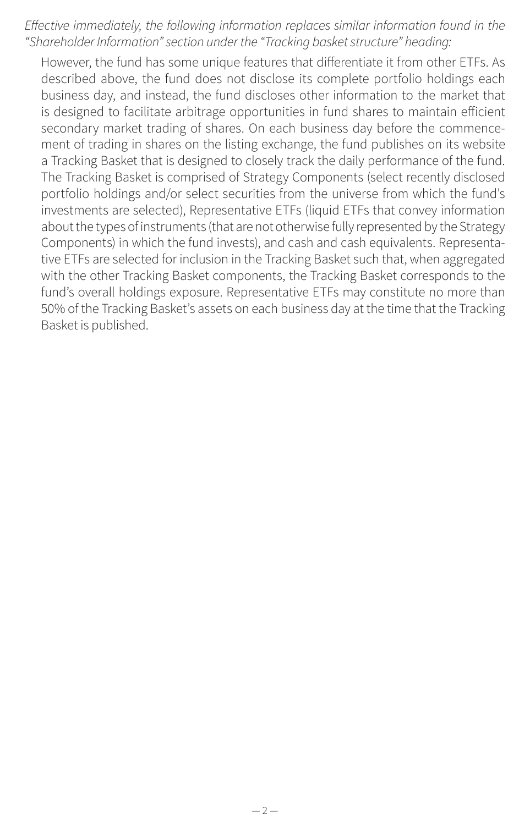#### Effective immediately, the following information replaces similar information found in the "Shareholder Information" section under the "Tracking basket structure" heading:

However, the fund has some unique features that differentiate it from other ETFs. As described above, the fund does not disclose its complete portfolio holdings each business day, and instead, the fund discloses other information to the market that is designed to facilitate arbitrage opportunities in fund shares to maintain efficient secondary market trading of shares. On each business day before the commencement of trading in shares on the listing exchange, the fund publishes on its website a Tracking Basket that is designed to closely track the daily performance of the fund. The Tracking Basket is comprised of Strategy Components (select recently disclosed portfolio holdings and/or select securities from the universe from which the fund's investments are selected), Representative ETFs (liquid ETFs that convey information about the types of instruments (that are not otherwise fully represented by the Strategy Components) in which the fund invests), and cash and cash equivalents. Representative ETFs are selected for inclusion in the Tracking Basket such that, when aggregated with the other Tracking Basket components, the Tracking Basket corresponds to the fund's overall holdings exposure. Representative ETFs may constitute no more than 50% of the Tracking Basket's assets on each business day at the time that the Tracking Basket is published.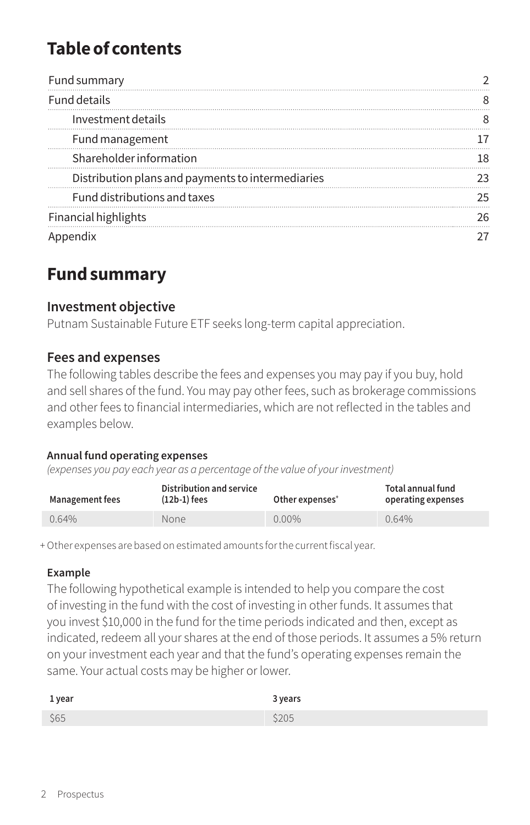# **Table of contents**

| Fund summary                                      |    |
|---------------------------------------------------|----|
| <b>Fund details</b>                               |    |
| Investment details                                |    |
| Fund management                                   |    |
| Shareholder information                           | 18 |
| Distribution plans and payments to intermediaries |    |
| Fund distributions and taxes                      | 25 |
| <b>Financial highlights</b>                       | ን6 |
|                                                   |    |

# **Fund summary**

#### **Investment objective**

Putnam Sustainable Future ETF seeks long-term capital appreciation.

#### **Fees and expenses**

The following tables describe the fees and expenses you may pay if you buy, hold and sell shares of the fund. You may pay other fees, such as brokerage commissions and other fees to financial intermediaries, which are not reflected in the tables and examples below.

#### **Annual fund operating expenses**

*(expenses you pay each year as a percentage of the value of your investment)*

| Management fees | Distribution and service<br>$(12b-1)$ fees | Other expenses <sup>+</sup> | Total annual fund<br>operating expenses |
|-----------------|--------------------------------------------|-----------------------------|-----------------------------------------|
| 0.64%           | None                                       | $0.00\%$                    | 0.64%                                   |

+Other expenses are based on estimated amounts for the current fiscal year.

#### **Example**

The following hypothetical example is intended to help you compare the cost of investing in the fund with the cost of investing in other funds. It assumes that you invest \$10,000 in the fund for the time periods indicated and then, except as indicated, redeem all your shares at the end of those periods. It assumes a 5% return on your investment each year and that the fund's operating expenses remain the same. Your actual costs may be higher or lower.

| 1 year | 3 years |
|--------|---------|
| \$65   | \$205   |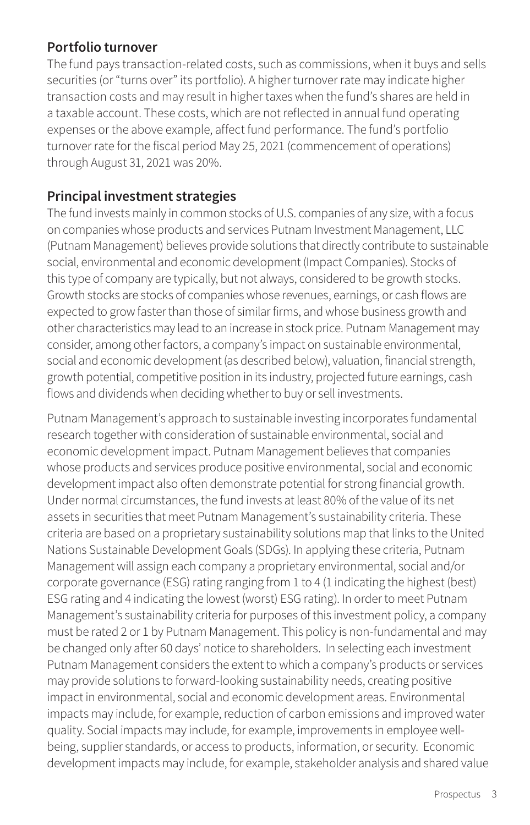#### **Portfolio turnover**

The fund pays transaction-related costs, such as commissions, when it buys and sells securities (or "turns over" its portfolio). A higher turnover rate may indicate higher transaction costs and may result in higher taxes when the fund's shares are held in a taxable account. These costs, which are not reflected in annual fund operating expenses or the above example, affect fund performance. The fund's portfolio turnover rate for the fiscal period May 25, 2021 (commencement of operations) through August 31, 2021 was 20%.

## **Principal investment strategies**

The fund invests mainly in common stocks of U.S. companies of any size, with a focus on companies whose products and services Putnam Investment Management, LLC (Putnam Management) believes provide solutions that directly contribute to sustainable social, environmental and economic development (Impact Companies). Stocks of this type of company are typically, but not always, considered to be growth stocks. Growth stocks are stocks of companies whose revenues, earnings, or cash flows are expected to grow faster than those of similar firms, and whose business growth and other characteristics may lead to an increase in stock price. Putnam Management may consider, among other factors, a company's impact on sustainable environmental, social and economic development (as described below), valuation, financial strength, growth potential, competitive position in its industry, projected future earnings, cash flows and dividends when deciding whether to buy or sell investments.

Putnam Management's approach to sustainable investing incorporates fundamental research together with consideration of sustainable environmental, social and economic development impact. Putnam Management believes that companies whose products and services produce positive environmental, social and economic development impact also often demonstrate potential for strong financial growth. Under normal circumstances, the fund invests at least 80% of the value of its net assets in securities that meet Putnam Management's sustainability criteria. These criteria are based on a proprietary sustainability solutions map that links to the United Nations Sustainable Development Goals (SDGs). In applying these criteria, Putnam Management will assign each company a proprietary environmental, social and/or corporate governance (ESG) rating ranging from 1 to 4 (1 indicating the highest (best) ESG rating and 4 indicating the lowest (worst) ESG rating). In order to meet Putnam Management's sustainability criteria for purposes of this investment policy, a company must be rated 2 or 1 by Putnam Management. This policy is non-fundamental and may be changed only after 60 days' notice to shareholders. In selecting each investment Putnam Management considers the extent to which a company's products or services may provide solutions to forward-looking sustainability needs, creating positive impact in environmental, social and economic development areas. Environmental impacts may include, for example, reduction of carbon emissions and improved water quality. Social impacts may include, for example, improvements in employee wellbeing, supplier standards, or access to products, information, or security. Economic development impacts may include, for example, stakeholder analysis and shared value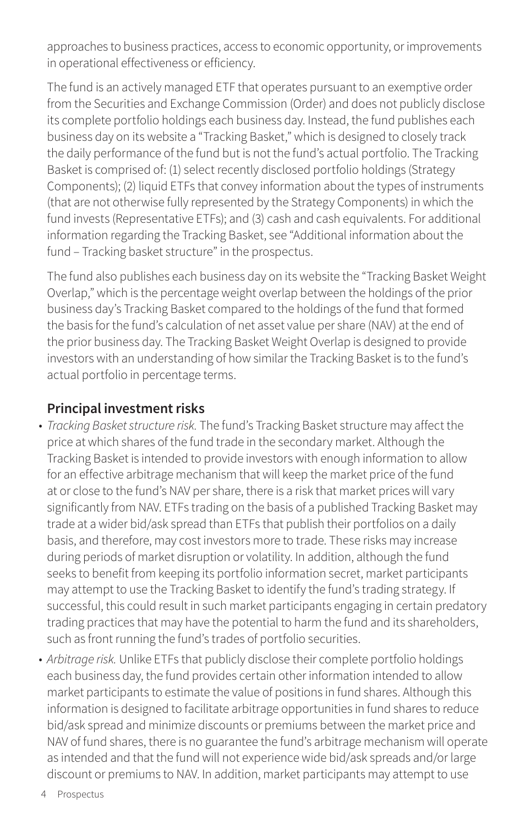approaches to business practices, access to economic opportunity, or improvements in operational effectiveness or efficiency.

The fund is an actively managed ETF that operates pursuant to an exemptive order from the Securities and Exchange Commission (Order) and does not publicly disclose its complete portfolio holdings each business day. Instead, the fund publishes each business day on its website a "Tracking Basket," which is designed to closely track the daily performance of the fund but is not the fund's actual portfolio. The Tracking Basket is comprised of: (1) select recently disclosed portfolio holdings (Strategy Components); (2) liquid ETFs that convey information about the types of instruments (that are not otherwise fully represented by the Strategy Components) in which the fund invests (Representative ETFs); and (3) cash and cash equivalents. For additional information regarding the Tracking Basket, see "Additional information about the fund – Tracking basket structure" in the prospectus.

The fund also publishes each business day on its website the "Tracking Basket Weight Overlap," which is the percentage weight overlap between the holdings of the prior business day's Tracking Basket compared to the holdings of the fund that formed the basis for the fund's calculation of net asset value per share (NAV) at the end of the prior business day. The Tracking Basket Weight Overlap is designed to provide investors with an understanding of how similar the Tracking Basket is to the fund's actual portfolio in percentage terms.

# **Principal investment risks**

- *Tracking Basket structure risk.* The fund's Tracking Basket structure may affect the price at which shares of the fund trade in the secondary market. Although the Tracking Basket is intended to provide investors with enough information to allow for an effective arbitrage mechanism that will keep the market price of the fund at or close to the fund's NAV per share, there is a risk that market prices will vary significantly from NAV. ETFs trading on the basis of a published Tracking Basket may trade at a wider bid/ask spread than ETFs that publish their portfolios on a daily basis, and therefore, may cost investors more to trade. These risks may increase during periods of market disruption or volatility. In addition, although the fund seeks to benefit from keeping its portfolio information secret, market participants may attempt to use the Tracking Basket to identify the fund's trading strategy. If successful, this could result in such market participants engaging in certain predatory trading practices that may have the potential to harm the fund and its shareholders, such as front running the fund's trades of portfolio securities.
- *Arbitrage risk.* Unlike ETFs that publicly disclose their complete portfolio holdings each business day, the fund provides certain other information intended to allow market participants to estimate the value of positions in fund shares. Although this information is designed to facilitate arbitrage opportunities in fund shares to reduce bid/ask spread and minimize discounts or premiums between the market price and NAV of fund shares, there is no guarantee the fund's arbitrage mechanism will operate as intended and that the fund will not experience wide bid/ask spreads and/or large discount or premiums to NAV. In addition, market participants may attempt to use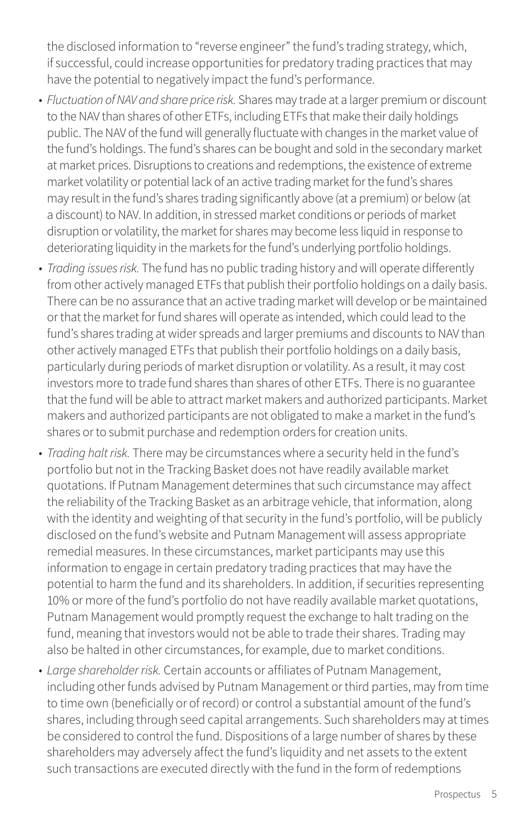the disclosed information to "reverse engineer" the fund's trading strategy, which, if successful, could increase opportunities for predatory trading practices that may have the potential to negatively impact the fund's performance.

- *Fluctuation of NAV and share price risk.* Shares may trade at a larger premium or discount to the NAV than shares of other ETFs, including ETFs that make their daily holdings public. The NAV of the fund will generally fluctuate with changes in the market value of the fund's holdings. The fund's shares can be bought and sold in the secondary market at market prices. Disruptions to creations and redemptions, the existence of extreme market volatility or potential lack of an active trading market for the fund's shares may result in the fund's shares trading significantly above (at a premium) or below (at a discount) to NAV. In addition, in stressed market conditions or periods of market disruption or volatility, the market for shares may become less liquid in response to deteriorating liquidity in the markets for the fund's underlying portfolio holdings.
- *Trading issues risk.* The fund has no public trading history and will operate differently from other actively managed ETFs that publish their portfolio holdings on a daily basis. There can be no assurance that an active trading market will develop or be maintained or that the market for fund shares will operate as intended, which could lead to the fund's shares trading at wider spreads and larger premiums and discounts to NAV than other actively managed ETFs that publish their portfolio holdings on a daily basis, particularly during periods of market disruption or volatility. As a result, it may cost investors more to trade fund shares than shares of other ETFs. There is no guarantee that the fund will be able to attract market makers and authorized participants. Market makers and authorized participants are not obligated to make a market in the fund's shares or to submit purchase and redemption orders for creation units.
- *Trading halt risk.* There may be circumstances where a security held in the fund's portfolio but not in the Tracking Basket does not have readily available market quotations. If Putnam Management determines that such circumstance may affect the reliability of the Tracking Basket as an arbitrage vehicle, that information, along with the identity and weighting of that security in the fund's portfolio, will be publicly disclosed on the fund's website and Putnam Management will assess appropriate remedial measures. In these circumstances, market participants may use this information to engage in certain predatory trading practices that may have the potential to harm the fund and its shareholders. In addition, if securities representing 10% or more of the fund's portfolio do not have readily available market quotations, Putnam Management would promptly request the exchange to halt trading on the fund, meaning that investors would not be able to trade their shares. Trading may also be halted in other circumstances, for example, due to market conditions.
- *Large shareholder risk.* Certain accounts or affiliates of Putnam Management, including other funds advised by Putnam Management or third parties, may from time to time own (beneficially or of record) or control a substantial amount of the fund's shares, including through seed capital arrangements. Such shareholders may at times be considered to control the fund. Dispositions of a large number of shares by these shareholders may adversely affect the fund's liquidity and net assets to the extent such transactions are executed directly with the fund in the form of redemptions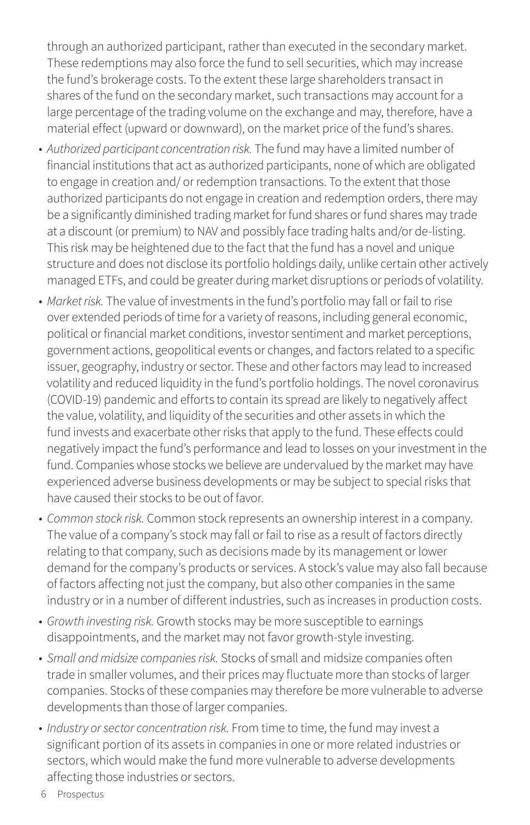through an authorized participant, rather than executed in the secondary market. These redemptions may also force the fund to sell securities, which may increase the fund's brokerage costs. To the extent these large shareholders transact in shares of the fund on the secondary market, such transactions may account for a large percentage of the trading volume on the exchange and may, therefore, have a material effect (upward or downward), on the market price of the fund's shares.

- *Authorized participant concentration risk.* The fund may have a limited number of financial institutions that act as authorized participants, none of which are obligated to engage in creation and/ or redemption transactions. To the extent that those authorized participants do not engage in creation and redemption orders, there may be a significantly diminished trading market for fund shares or fund shares may trade at a discount (or premium) to NAV and possibly face trading halts and/or de-listing. This risk may be heightened due to the fact that the fund has a novel and unique structure and does not disclose its portfolio holdings daily, unlike certain other actively managed ETFs, and could be greater during market disruptions or periods of volatility.
- *Market risk.* The value of investments in the fund's portfolio may fall or fail to rise over extended periods of time for a variety of reasons, including general economic, political or financial market conditions, investor sentiment and market perceptions, government actions, geopolitical events or changes, and factors related to a specific issuer, geography, industry or sector. These and other factors may lead to increased volatility and reduced liquidity in the fund's portfolio holdings. The novel coronavirus (COVID-19) pandemic and efforts to contain its spread are likely to negatively affect the value, volatility, and liquidity of the securities and other assets in which the fund invests and exacerbate other risks that apply to the fund. These effects could negatively impact the fund's performance and lead to losses on your investment in the fund. Companies whose stocks we believe are undervalued by the market may have experienced adverse business developments or may be subject to special risks that have caused their stocks to be out of favor.
- *Common stock risk.* Common stock represents an ownership interest in a company. The value of a company's stock may fall or fail to rise as a result of factors directly relating to that company, such as decisions made by its management or lower demand for the company's products or services. A stock's value may also fall because of factors affecting not just the company, but also other companies in the same industry or in a number of different industries, such as increases in production costs.
- *Growth investing risk.* Growth stocks may be more susceptible to earnings disappointments, and the market may not favor growth-style investing.
- *Small and midsize companies risk.* Stocks of small and midsize companies often trade in smaller volumes, and their prices may fluctuate more than stocks of larger companies. Stocks of these companies may therefore be more vulnerable to adverse developments than those of larger companies.
- *Industry or sector concentration risk.* From time to time, the fund may invest a significant portion of its assets in companies in one or more related industries or sectors, which would make the fund more vulnerable to adverse developments affecting those industries or sectors.
- 6 Prospectus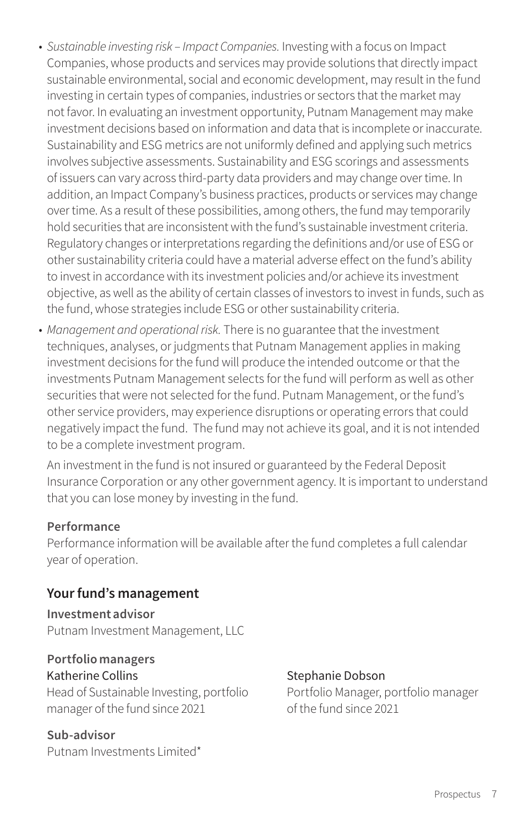- *Sustainable investing risk Impact Companies.* Investing with a focus on Impact Companies, whose products and services may provide solutions that directly impact sustainable environmental, social and economic development, may result in the fund investing in certain types of companies, industries or sectors that the market may not favor. In evaluating an investment opportunity, Putnam Management may make investment decisions based on information and data that is incomplete or inaccurate. Sustainability and ESG metrics are not uniformly defined and applying such metrics involves subjective assessments. Sustainability and ESG scorings and assessments of issuers can vary across third-party data providers and may change over time. In addition, an Impact Company's business practices, products or services may change over time. As a result of these possibilities, among others, the fund may temporarily hold securities that are inconsistent with the fund's sustainable investment criteria. Regulatory changes or interpretations regarding the definitions and/or use of ESG or other sustainability criteria could have a material adverse effect on the fund's ability to invest in accordance with its investment policies and/or achieve its investment objective, as well as the ability of certain classes of investors to invest in funds, such as the fund, whose strategies include ESG or other sustainability criteria.
- *Management and operational risk.* There is no guarantee that the investment techniques, analyses, or judgments that Putnam Management applies in making investment decisions for the fund will produce the intended outcome or that the investments Putnam Management selects for the fund will perform as well as other securities that were not selected for the fund. Putnam Management, or the fund's other service providers, may experience disruptions or operating errors that could negatively impact the fund. The fund may not achieve its goal, and it is not intended to be a complete investment program.

An investment in the fund is not insured or guaranteed by the Federal Deposit Insurance Corporation or any other government agency. It is important to understand that you can lose money by investing in the fund.

#### **Performance**

Performance information will be available after the fund completes a full calendar year of operation.

#### **Your fund's management**

**Investment advisor** Putnam Investment Management, LLC

#### **Portfolio managers** Katherine Collins

Head of Sustainable Investing, portfolio manager of the fund since 2021

# **Sub-advisor**

Putnam Investments Limited\*

Stephanie Dobson Portfolio Manager, portfolio manager of the fund since 2021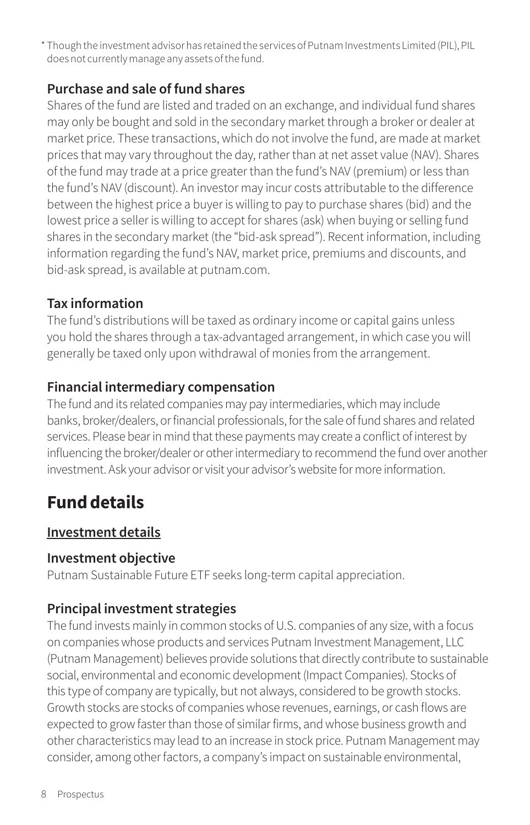\* Though the investment advisor has retained the services of Putnam Investments Limited (PIL), PIL does not currently manage any assets of the fund.

# **Purchase and sale of fund shares**

Shares of the fund are listed and traded on an exchange, and individual fund shares may only be bought and sold in the secondary market through a broker or dealer at market price. These transactions, which do not involve the fund, are made at market prices that may vary throughout the day, rather than at net asset value (NAV). Shares of the fund may trade at a price greater than the fund's NAV (premium) or less than the fund's NAV (discount). An investor may incur costs attributable to the difference between the highest price a buyer is willing to pay to purchase shares (bid) and the lowest price a seller is willing to accept for shares (ask) when buying or selling fund shares in the secondary market (the "bid-ask spread"). Recent information, including information regarding the fund's NAV, market price, premiums and discounts, and bid-ask spread, is available at [putnam.com.](https://www.putnam.com?ref=SP833.pdf)

## **Tax information**

The fund's distributions will be taxed as ordinary income or capital gains unless you hold the shares through a tax-advantaged arrangement, in which case you will generally be taxed only upon withdrawal of monies from the arrangement.

## **Financial intermediary compensation**

The fund and its related companies may pay intermediaries, which may include banks, broker/dealers, or financial professionals, for the sale of fund shares and related services. Please bear in mind that these payments may create a conflict of interest by influencing the broker/dealer or other intermediary to recommend the fund over another investment. Ask your advisor or visit your advisor's website for more information.

# **Fund details**

## **Investment details**

#### **Investment objective**

Putnam Sustainable Future ETF seeks long-term capital appreciation.

## **Principal investment strategies**

The fund invests mainly in common stocks of U.S. companies of any size, with a focus on companies whose products and services Putnam Investment Management, LLC (Putnam Management) believes provide solutions that directly contribute to sustainable social, environmental and economic development (Impact Companies). Stocks of this type of company are typically, but not always, considered to be growth stocks. Growth stocks are stocks of companies whose revenues, earnings, or cash flows are expected to grow faster than those of similar firms, and whose business growth and other characteristics may lead to an increase in stock price. Putnam Management may consider, among other factors, a company's impact on sustainable environmental,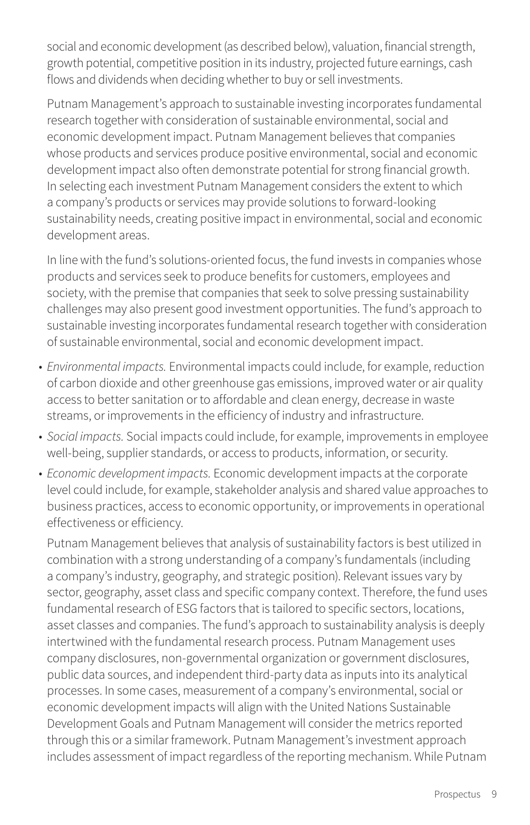social and economic development (as described below), valuation, financial strength, growth potential, competitive position in its industry, projected future earnings, cash flows and dividends when deciding whether to buy or sell investments.

Putnam Management's approach to sustainable investing incorporates fundamental research together with consideration of sustainable environmental, social and economic development impact. Putnam Management believes that companies whose products and services produce positive environmental, social and economic development impact also often demonstrate potential for strong financial growth. In selecting each investment Putnam Management considers the extent to which a company's products or services may provide solutions to forward-looking sustainability needs, creating positive impact in environmental, social and economic development areas.

In line with the fund's solutions-oriented focus, the fund invests in companies whose products and services seek to produce benefits for customers, employees and society, with the premise that companies that seek to solve pressing sustainability challenges may also present good investment opportunities. The fund's approach to sustainable investing incorporates fundamental research together with consideration of sustainable environmental, social and economic development impact.

- *Environmental impacts.* Environmental impacts could include, for example, reduction of carbon dioxide and other greenhouse gas emissions, improved water or air quality access to better sanitation or to affordable and clean energy, decrease in waste streams, or improvements in the efficiency of industry and infrastructure.
- *Social impacts.* Social impacts could include, for example, improvements in employee well-being, supplier standards, or access to products, information, or security.
- *Economic development impacts.* Economic development impacts at the corporate level could include, for example, stakeholder analysis and shared value approaches to business practices, access to economic opportunity, or improvements in operational effectiveness or efficiency.

Putnam Management believes that analysis of sustainability factors is best utilized in combination with a strong understanding of a company's fundamentals (including a company's industry, geography, and strategic position). Relevant issues vary by sector, geography, asset class and specific company context. Therefore, the fund uses fundamental research of ESG factors that is tailored to specific sectors, locations, asset classes and companies. The fund's approach to sustainability analysis is deeply intertwined with the fundamental research process. Putnam Management uses company disclosures, non-governmental organization or government disclosures, public data sources, and independent third-party data as inputs into its analytical processes. In some cases, measurement of a company's environmental, social or economic development impacts will align with the United Nations Sustainable Development Goals and Putnam Management will consider the metrics reported through this or a similar framework. Putnam Management's investment approach includes assessment of impact regardless of the reporting mechanism. While Putnam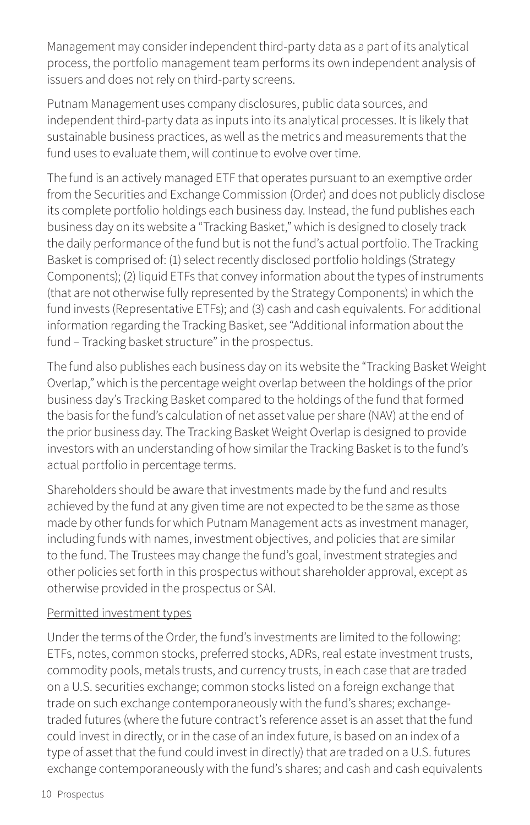Management may consider independent third-party data as a part of its analytical process, the portfolio management team performs its own independent analysis of issuers and does not rely on third-party screens.

Putnam Management uses company disclosures, public data sources, and independent third-party data as inputs into its analytical processes. It is likely that sustainable business practices, as well as the metrics and measurements that the fund uses to evaluate them, will continue to evolve over time.

The fund is an actively managed ETF that operates pursuant to an exemptive order from the Securities and Exchange Commission (Order) and does not publicly disclose its complete portfolio holdings each business day. Instead, the fund publishes each business day on its website a "Tracking Basket," which is designed to closely track the daily performance of the fund but is not the fund's actual portfolio. The Tracking Basket is comprised of: (1) select recently disclosed portfolio holdings (Strategy Components); (2) liquid ETFs that convey information about the types of instruments (that are not otherwise fully represented by the Strategy Components) in which the fund invests (Representative ETFs); and (3) cash and cash equivalents. For additional information regarding the Tracking Basket, see "Additional information about the fund - Tracking basket structure" in the prospectus.

The fund also publishes each business day on its website the "Tracking Basket Weight Overlap," which is the percentage weight overlap between the holdings of the prior business day's Tracking Basket compared to the holdings of the fund that formed the basis for the fund's calculation of net asset value per share (NAV) at the end of the prior business day. The Tracking Basket Weight Overlap is designed to provide investors with an understanding of how similar the Tracking Basket is to the fund's actual portfolio in percentage terms.

Shareholders should be aware that investments made by the fund and results achieved by the fund at any given time are not expected to be the same as those made by other funds for which Putnam Management acts as investment manager, including funds with names, investment objectives, and policies that are similar to the fund. The Trustees may change the fund's goal, investment strategies and other policies set forth in this prospectus without shareholder approval, except as otherwise provided in the prospectus or SAI.

#### Permitted investment types

Under the terms of the Order, the fund's investments are limited to the following: ETFs, notes, common stocks, preferred stocks, ADRs, real estate investment trusts, commodity pools, metals trusts, and currency trusts, in each case that are traded on a U.S. securities exchange; common stocks listed on a foreign exchange that trade on such exchange contemporaneously with the fund's shares; exchangetraded futures (where the future contract's reference asset is an asset that the fund could invest in directly, or in the case of an index future, is based on an index of a type of asset that the fund could invest in directly) that are traded on a U.S. futures exchange contemporaneously with the fund's shares; and cash and cash equivalents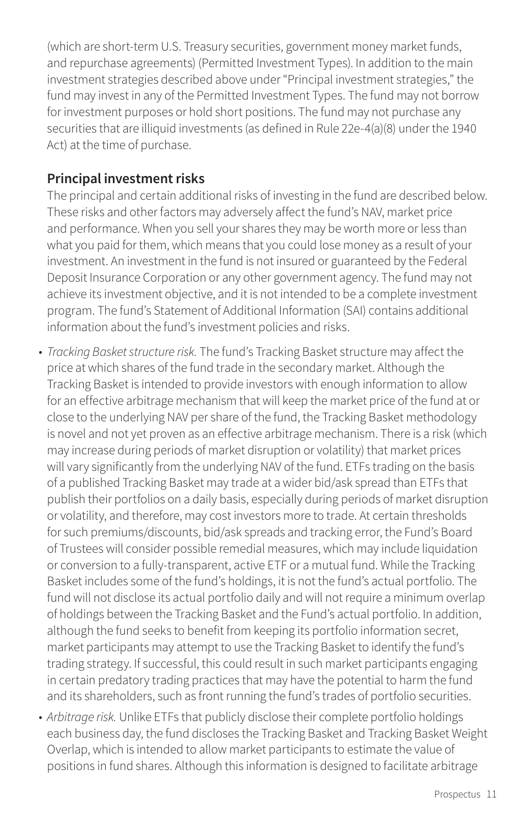(which are short-term U.S. Treasury securities, government money market funds, and repurchase agreements) (Permitted Investment Types). In addition to the main investment strategies described above under "Principal investment strategies," the fund may invest in any of the Permitted Investment Types. The fund may not borrow for investment purposes or hold short positions. The fund may not purchase any securities that are illiquid investments (as defined in Rule 22e-4(a)(8) under the 1940 Act) at the time of purchase.

## **Principal investment risks**

The principal and certain additional risks of investing in the fund are described below. These risks and other factors may adversely affect the fund's NAV, market price and performance. When you sell your shares they may be worth more or less than what you paid for them, which means that you could lose money as a result of your investment. An investment in the fund is not insured or guaranteed by the Federal Deposit Insurance Corporation or any other government agency. The fund may not achieve its investment objective, and it is not intended to be a complete investment program. The fund's Statement of Additional Information (SAI) contains additional information about the fund's investment policies and risks.

- *Tracking Basket structure risk.* The fund's Tracking Basket structure may affect the price at which shares of the fund trade in the secondary market. Although the Tracking Basket is intended to provide investors with enough information to allow for an effective arbitrage mechanism that will keep the market price of the fund at or close to the underlying NAV per share of the fund, the Tracking Basket methodology is novel and not yet proven as an effective arbitrage mechanism. There is a risk (which may increase during periods of market disruption or volatility) that market prices will vary significantly from the underlying NAV of the fund. ETFs trading on the basis of a published Tracking Basket may trade at a wider bid/ask spread than ETFs that publish their portfolios on a daily basis, especially during periods of market disruption or volatility, and therefore, may cost investors more to trade. At certain thresholds for such premiums/discounts, bid/ask spreads and tracking error, the Fund's Board of Trustees will consider possible remedial measures, which may include liquidation or conversion to a fully-transparent, active ETF or a mutual fund. While the Tracking Basket includes some of the fund's holdings, it is not the fund's actual portfolio. The fund will not disclose its actual portfolio daily and will not require a minimum overlap of holdings between the Tracking Basket and the Fund's actual portfolio. In addition, although the fund seeks to benefit from keeping its portfolio information secret, market participants may attempt to use the Tracking Basket to identify the fund's trading strategy. If successful, this could result in such market participants engaging in certain predatory trading practices that may have the potential to harm the fund and its shareholders, such as front running the fund's trades of portfolio securities.
- *Arbitrage risk.* Unlike ETFs that publicly disclose their complete portfolio holdings each business day, the fund discloses the Tracking Basket and Tracking Basket Weight Overlap, which is intended to allow market participants to estimate the value of positions in fund shares. Although this information is designed to facilitate arbitrage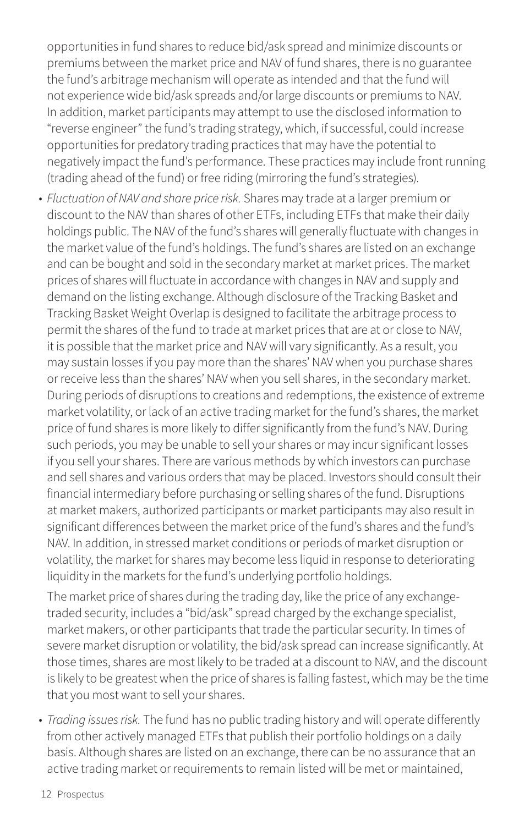opportunities in fund shares to reduce bid/ask spread and minimize discounts or premiums between the market price and NAV of fund shares, there is no guarantee the fund's arbitrage mechanism will operate as intended and that the fund will not experience wide bid/ask spreads and/or large discounts or premiums to NAV. In addition, market participants may attempt to use the disclosed information to "reverse engineer" the fund's trading strategy, which, if successful, could increase opportunities for predatory trading practices that may have the potential to negatively impact the fund's performance. These practices may include front running (trading ahead of the fund) or free riding (mirroring the fund's strategies).

• *Fluctuation of NAV and share price risk.* Shares may trade at a larger premium or discount to the NAV than shares of other ETFs, including ETFs that make their daily holdings public. The NAV of the fund's shares will generally fluctuate with changes in the market value of the fund's holdings. The fund's shares are listed on an exchange and can be bought and sold in the secondary market at market prices. The market prices of shares will fluctuate in accordance with changes in NAV and supply and demand on the listing exchange. Although disclosure of the Tracking Basket and Tracking Basket Weight Overlap is designed to facilitate the arbitrage process to permit the shares of the fund to trade at market prices that are at or close to NAV, it is possible that the market price and NAV will vary significantly. As a result, you may sustain losses if you pay more than the shares' NAV when you purchase shares or receive less than the shares' NAV when you sell shares, in the secondary market. During periods of disruptions to creations and redemptions, the existence of extreme market volatility, or lack of an active trading market for the fund's shares, the market price of fund shares is more likely to differ significantly from the fund's NAV. During such periods, you may be unable to sell your shares or may incur significant losses if you sell your shares. There are various methods by which investors can purchase and sell shares and various orders that may be placed. Investors should consult their financial intermediary before purchasing or selling shares of the fund. Disruptions at market makers, authorized participants or market participants may also result in significant differences between the market price of the fund's shares and the fund's NAV. In addition, in stressed market conditions or periods of market disruption or volatility, the market for shares may become less liquid in response to deteriorating liquidity in the markets for the fund's underlying portfolio holdings.

The market price of shares during the trading day, like the price of any exchangetraded security, includes a "bid/ask" spread charged by the exchange specialist, market makers, or other participants that trade the particular security. In times of severe market disruption or volatility, the bid/ask spread can increase significantly. At those times, shares are most likely to be traded at a discount to NAV, and the discount is likely to be greatest when the price of shares is falling fastest, which may be the time that you most want to sell your shares.

• *Trading issues risk.* The fund has no public trading history and will operate differently from other actively managed ETFs that publish their portfolio holdings on a daily basis. Although shares are listed on an exchange, there can be no assurance that an active trading market or requirements to remain listed will be met or maintained,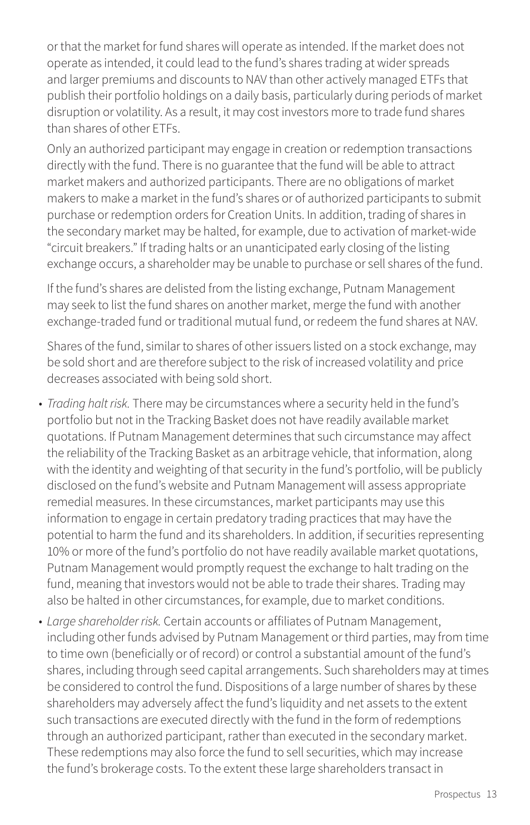or that the market for fund shares will operate as intended. If the market does not operate as intended, it could lead to the fund's shares trading at wider spreads and larger premiums and discounts to NAV than other actively managed ETFs that publish their portfolio holdings on a daily basis, particularly during periods of market disruption or volatility. As a result, it may cost investors more to trade fund shares than shares of other ETFs.

Only an authorized participant may engage in creation or redemption transactions directly with the fund. There is no guarantee that the fund will be able to attract market makers and authorized participants. There are no obligations of market makers to make a market in the fund's shares or of authorized participants to submit purchase or redemption orders for Creation Units. In addition, trading of shares in the secondary market may be halted, for example, due to activation of market-wide "circuit breakers." If trading halts or an unanticipated early closing of the listing exchange occurs, a shareholder may be unable to purchase or sell shares of the fund.

If the fund's shares are delisted from the listing exchange, Putnam Management may seek to list the fund shares on another market, merge the fund with another exchange-traded fund or traditional mutual fund, or redeem the fund shares at NAV.

Shares of the fund, similar to shares of other issuers listed on a stock exchange, may be sold short and are therefore subject to the risk of increased volatility and price decreases associated with being sold short.

- *Trading halt risk.* There may be circumstances where a security held in the fund's portfolio but not in the Tracking Basket does not have readily available market quotations. If Putnam Management determines that such circumstance may affect the reliability of the Tracking Basket as an arbitrage vehicle, that information, along with the identity and weighting of that security in the fund's portfolio, will be publicly disclosed on the fund's website and Putnam Management will assess appropriate remedial measures. In these circumstances, market participants may use this information to engage in certain predatory trading practices that may have the potential to harm the fund and its shareholders. In addition, if securities representing 10% or more of the fund's portfolio do not have readily available market quotations, Putnam Management would promptly request the exchange to halt trading on the fund, meaning that investors would not be able to trade their shares. Trading may also be halted in other circumstances, for example, due to market conditions.
- *Large shareholder risk.* Certain accounts or affiliates of Putnam Management, including other funds advised by Putnam Management or third parties, may from time to time own (beneficially or of record) or control a substantial amount of the fund's shares, including through seed capital arrangements. Such shareholders may at times be considered to control the fund. Dispositions of a large number of shares by these shareholders may adversely affect the fund's liquidity and net assets to the extent such transactions are executed directly with the fund in the form of redemptions through an authorized participant, rather than executed in the secondary market. These redemptions may also force the fund to sell securities, which may increase the fund's brokerage costs. To the extent these large shareholders transact in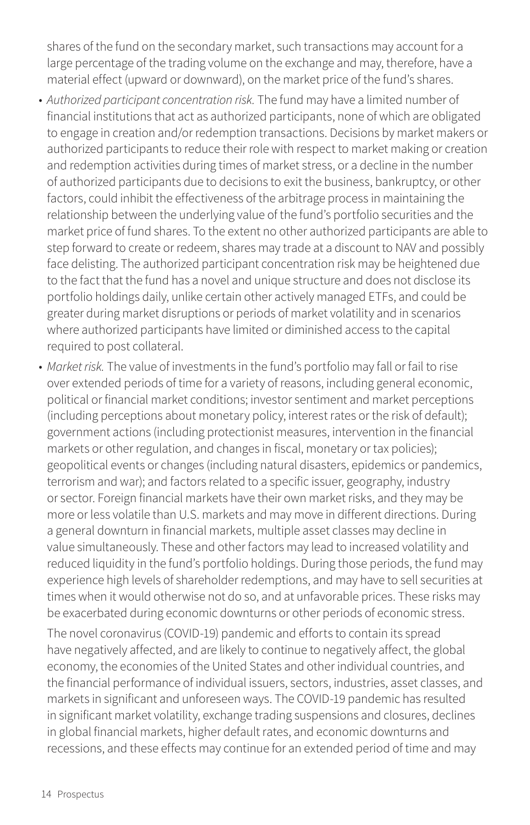shares of the fund on the secondary market, such transactions may account for a large percentage of the trading volume on the exchange and may, therefore, have a material effect (upward or downward), on the market price of the fund's shares.

- *Authorized participant concentration risk.* The fund may have a limited number of financial institutions that act as authorized participants, none of which are obligated to engage in creation and/or redemption transactions. Decisions by market makers or authorized participants to reduce their role with respect to market making or creation and redemption activities during times of market stress, or a decline in the number of authorized participants due to decisions to exit the business, bankruptcy, or other factors, could inhibit the effectiveness of the arbitrage process in maintaining the relationship between the underlying value of the fund's portfolio securities and the market price of fund shares. To the extent no other authorized participants are able to step forward to create or redeem, shares may trade at a discount to NAV and possibly face delisting. The authorized participant concentration risk may be heightened due to the fact that the fund has a novel and unique structure and does not disclose its portfolio holdings daily, unlike certain other actively managed ETFs, and could be greater during market disruptions or periods of market volatility and in scenarios where authorized participants have limited or diminished access to the capital required to post collateral.
- *Market risk.* The value of investments in the fund's portfolio may fall or fail to rise over extended periods of time for a variety of reasons, including general economic, political or financial market conditions; investor sentiment and market perceptions (including perceptions about monetary policy, interest rates or the risk of default); government actions (including protectionist measures, intervention in the financial markets or other regulation, and changes in fiscal, monetary or tax policies); geopolitical events or changes (including natural disasters, epidemics or pandemics, terrorism and war); and factors related to a specific issuer, geography, industry or sector. Foreign financial markets have their own market risks, and they may be more or less volatile than U.S. markets and may move in different directions. During a general downturn in financial markets, multiple asset classes may decline in value simultaneously. These and other factors may lead to increased volatility and reduced liquidity in the fund's portfolio holdings. During those periods, the fund may experience high levels of shareholder redemptions, and may have to sell securities at times when it would otherwise not do so, and at unfavorable prices. These risks may be exacerbated during economic downturns or other periods of economic stress.

The novel coronavirus (COVID-19) pandemic and efforts to contain its spread have negatively affected, and are likely to continue to negatively affect, the global economy, the economies of the United States and other individual countries, and the financial performance of individual issuers, sectors, industries, asset classes, and markets in significant and unforeseen ways. The COVID-19 pandemic has resulted in significant market volatility, exchange trading suspensions and closures, declines in global financial markets, higher default rates, and economic downturns and recessions, and these effects may continue for an extended period of time and may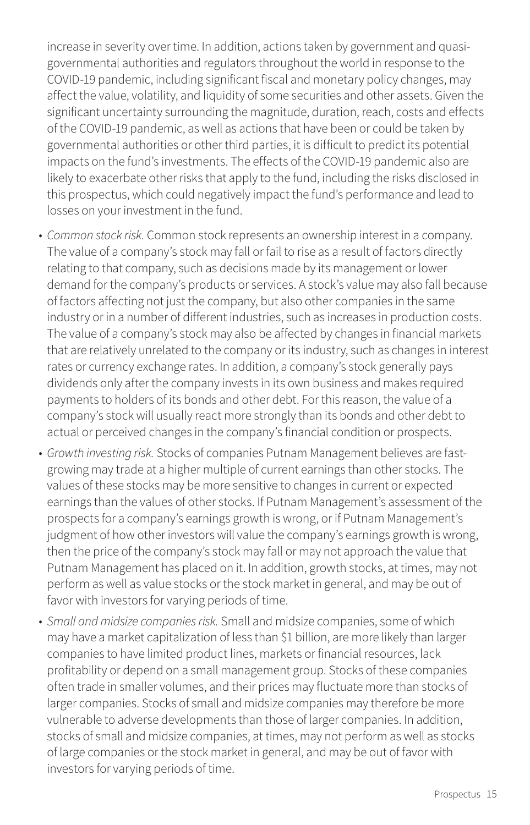increase in severity over time. In addition, actions taken by government and quasigovernmental authorities and regulators throughout the world in response to the COVID-19 pandemic, including significant fiscal and monetary policy changes, may affect the value, volatility, and liquidity of some securities and other assets. Given the significant uncertainty surrounding the magnitude, duration, reach, costs and effects of the COVID-19 pandemic, as well as actions that have been or could be taken by governmental authorities or other third parties, it is difficult to predict its potential impacts on the fund's investments. The effects of the COVID-19 pandemic also are likely to exacerbate other risks that apply to the fund, including the risks disclosed in this prospectus, which could negatively impact the fund's performance and lead to losses on your investment in the fund.

- *Common stock risk.* Common stock represents an ownership interest in a company. The value of a company's stock may fall or fail to rise as a result of factors directly relating to that company, such as decisions made by its management or lower demand for the company's products or services. A stock's value may also fall because of factors affecting not just the company, but also other companies in the same industry or in a number of different industries, such as increases in production costs. The value of a company's stock may also be affected by changes in financial markets that are relatively unrelated to the company or its industry, such as changes in interest rates or currency exchange rates. In addition, a company's stock generally pays dividends only after the company invests in its own business and makes required payments to holders of its bonds and other debt. For this reason, the value of a company's stock will usually react more strongly than its bonds and other debt to actual or perceived changes in the company's financial condition or prospects.
- *Growth investing risk.* Stocks of companies Putnam Management believes are fastgrowing may trade at a higher multiple of current earnings than other stocks. The values of these stocks may be more sensitive to changes in current or expected earnings than the values of other stocks. If Putnam Management's assessment of the prospects for a company's earnings growth is wrong, or if Putnam Management's judgment of how other investors will value the company's earnings growth is wrong, then the price of the company's stock may fall or may not approach the value that Putnam Management has placed on it. In addition, growth stocks, at times, may not perform as well as value stocks or the stock market in general, and may be out of favor with investors for varying periods of time.
- *Small and midsize companies risk.* Small and midsize companies, some of which may have a market capitalization of less than \$1 billion, are more likely than larger companies to have limited product lines, markets or financial resources, lack profitability or depend on a small management group. Stocks of these companies often trade in smaller volumes, and their prices may fluctuate more than stocks of larger companies. Stocks of small and midsize companies may therefore be more vulnerable to adverse developments than those of larger companies. In addition, stocks of small and midsize companies, at times, may not perform as well as stocks of large companies or the stock market in general, and may be out of favor with investors for varying periods of time.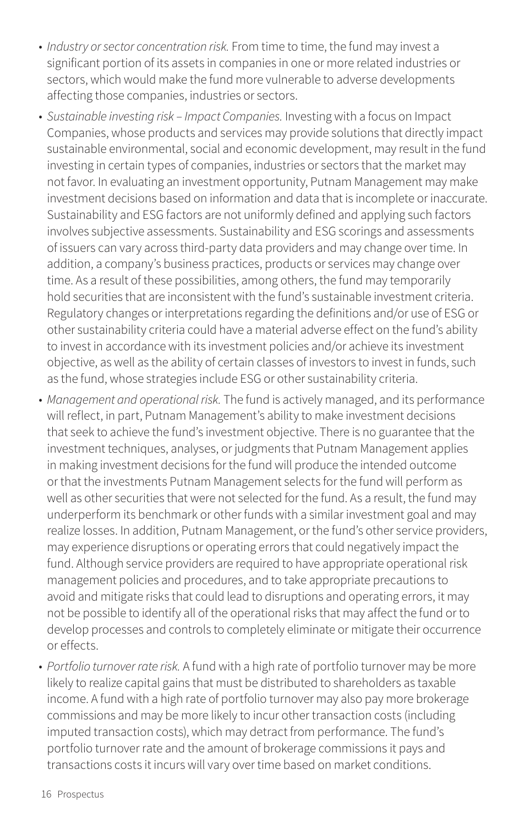- *Industry or sector concentration risk.* From time to time, the fund may invest a significant portion of its assets in companies in one or more related industries or sectors, which would make the fund more vulnerable to adverse developments affecting those companies, industries or sectors.
- *Sustainable investing risk Impact Companies.* Investing with a focus on Impact Companies, whose products and services may provide solutions that directly impact sustainable environmental, social and economic development, may result in the fund investing in certain types of companies, industries or sectors that the market may not favor. In evaluating an investment opportunity, Putnam Management may make investment decisions based on information and data that is incomplete or inaccurate. Sustainability and ESG factors are not uniformly defined and applying such factors involves subjective assessments. Sustainability and ESG scorings and assessments of issuers can vary across third-party data providers and may change over time. In addition, a company's business practices, products or services may change over time. As a result of these possibilities, among others, the fund may temporarily hold securities that are inconsistent with the fund's sustainable investment criteria. Regulatory changes or interpretations regarding the definitions and/or use of ESG or other sustainability criteria could have a material adverse effect on the fund's ability to invest in accordance with its investment policies and/or achieve its investment objective, as well as the ability of certain classes of investors to invest in funds, such as the fund, whose strategies include ESG or other sustainability criteria.
- *Management and operational risk.* The fund is actively managed, and its performance will reflect, in part, Putnam Management's ability to make investment decisions that seek to achieve the fund's investment objective. There is no guarantee that the investment techniques, analyses, or judgments that Putnam Management applies in making investment decisions for the fund will produce the intended outcome or that the investments Putnam Management selects for the fund will perform as well as other securities that were not selected for the fund. As a result, the fund may underperform its benchmark or other funds with a similar investment goal and may realize losses. In addition, Putnam Management, or the fund's other service providers, may experience disruptions or operating errors that could negatively impact the fund. Although service providers are required to have appropriate operational risk management policies and procedures, and to take appropriate precautions to avoid and mitigate risks that could lead to disruptions and operating errors, it may not be possible to identify all of the operational risks that may affect the fund or to develop processes and controls to completely eliminate or mitigate their occurrence or effects.
- *Portfolio turnover rate risk.* A fund with a high rate of portfolio turnover may be more likely to realize capital gains that must be distributed to shareholders as taxable income. A fund with a high rate of portfolio turnover may also pay more brokerage commissions and may be more likely to incur other transaction costs (including imputed transaction costs), which may detract from performance. The fund's portfolio turnover rate and the amount of brokerage commissions it pays and transactions costs it incurs will vary over time based on market conditions.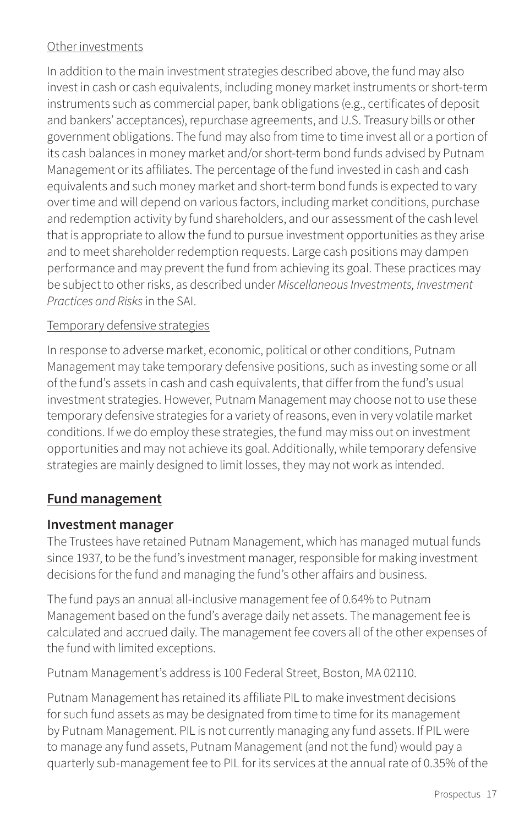#### Other investments

In addition to the main investment strategies described above, the fund may also invest in cash or cash equivalents, including money market instruments or short-term instruments such as commercial paper, bank obligations (e.g., certificates of deposit and bankers' acceptances), repurchase agreements, and U.S. Treasury bills or other government obligations. The fund may also from time to time invest all or a portion of its cash balances in money market and/or short-term bond funds advised by Putnam Management or its affiliates. The percentage of the fund invested in cash and cash equivalents and such money market and short-term bond funds is expected to vary over time and will depend on various factors, including market conditions, purchase and redemption activity by fund shareholders, and our assessment of the cash level that is appropriate to allow the fund to pursue investment opportunities as they arise and to meet shareholder redemption requests. Large cash positions may dampen performance and may prevent the fund from achieving its goal. These practices may be subject to other risks, as described under *Miscellaneous Investments, Investment Practices and Risks* in the SAI.

#### Temporary defensive strategies

In response to adverse market, economic, political or other conditions, Putnam Management may take temporary defensive positions, such as investing some or all of the fund's assets in cash and cash equivalents, that differ from the fund's usual investment strategies. However, Putnam Management may choose not to use these temporary defensive strategies for a variety of reasons, even in very volatile market conditions. If we do employ these strategies, the fund may miss out on investment opportunities and may not achieve its goal. Additionally, while temporary defensive strategies are mainly designed to limit losses, they may not work as intended.

## **Fund management**

#### **Investment manager**

The Trustees have retained Putnam Management, which has managed mutual funds since 1937, to be the fund's investment manager, responsible for making investment decisions for the fund and managing the fund's other affairs and business.

The fund pays an annual all-inclusive management fee of 0.64% to Putnam Management based on the fund's average daily net assets. The management fee is calculated and accrued daily. The management fee covers all of the other expenses of the fund with limited exceptions.

Putnam Management's address is 100 Federal Street, Boston, MA 02110.

Putnam Management has retained its affiliate PIL to make investment decisions for such fund assets as may be designated from time to time for its management by Putnam Management. PIL is not currently managing any fund assets. If PIL were to manage any fund assets, Putnam Management (and not the fund) would pay a quarterly sub-management fee to PIL for its services at the annual rate of 0.35% of the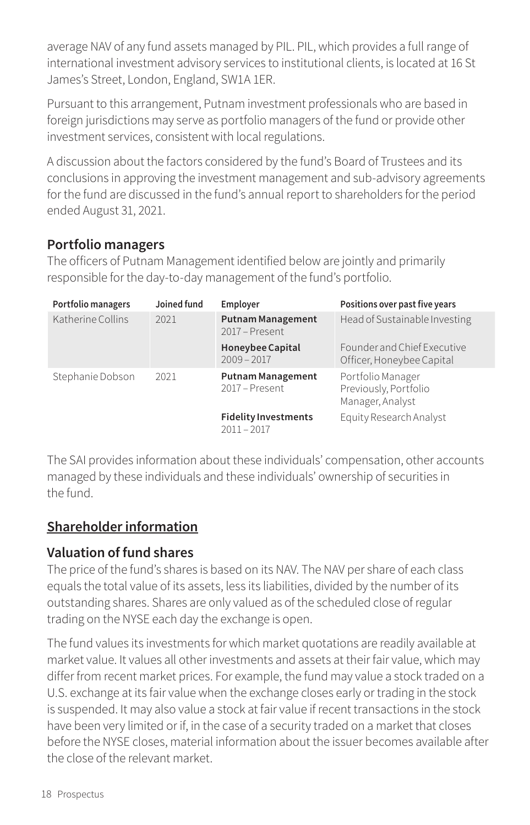average NAV of any fund assets managed by PIL. PIL, which provides a full range of international investment advisory services to institutional clients, is located at 16 St James's Street, London, England, SW1A 1ER.

Pursuant to this arrangement, Putnam investment professionals who are based in foreign jurisdictions may serve as portfolio managers of the fund or provide other investment services, consistent with local regulations.

A discussion about the factors considered by the fund's Board of Trustees and its conclusions in approving the investment management and sub-advisory agreements for the fund are discussed in the fund's annual report to shareholders for the period ended August 31, 2021.

## **Portfolio managers**

The officers of Putnam Management identified below are jointly and primarily responsible for the day-to-day management of the fund's portfolio.

| Portfolio managers | Joined fund | Employer                                     | Positions over past five years                                 |
|--------------------|-------------|----------------------------------------------|----------------------------------------------------------------|
| Katherine Collins  | 2021        | <b>Putnam Management</b><br>2017 – Present   | Head of Sustainable Investing                                  |
|                    |             | Honeybee Capital<br>$2009 - 2017$            | Founder and Chief Executive<br>Officer, Honeybee Capital       |
| Stephanie Dobson   | 2021        | <b>Putnam Management</b><br>2017 – Present   | Portfolio Manager<br>Previously, Portfolio<br>Manager, Analyst |
|                    |             | <b>Fidelity Investments</b><br>$2011 - 2017$ | Equity Research Analyst                                        |

The SAI provides information about these individuals' compensation, other accounts managed by these individuals and these individuals' ownership of securities in the fund.

# **Shareholder information**

# **Valuation of fund shares**

The price of the fund's shares is based on its NAV. The NAV per share of each class equals the total value of its assets, less its liabilities, divided by the number of its outstanding shares. Shares are only valued as of the scheduled close of regular trading on the NYSE each day the exchange is open.

The fund values its investments for which market quotations are readily available at market value. It values all other investments and assets at their fair value, which may differ from recent market prices. For example, the fund may value a stock traded on a U.S. exchange at its fair value when the exchange closes early or trading in the stock is suspended. It may also value a stock at fair value if recent transactions in the stock have been very limited or if, in the case of a security traded on a market that closes before the NYSE closes, material information about the issuer becomes available after the close of the relevant market.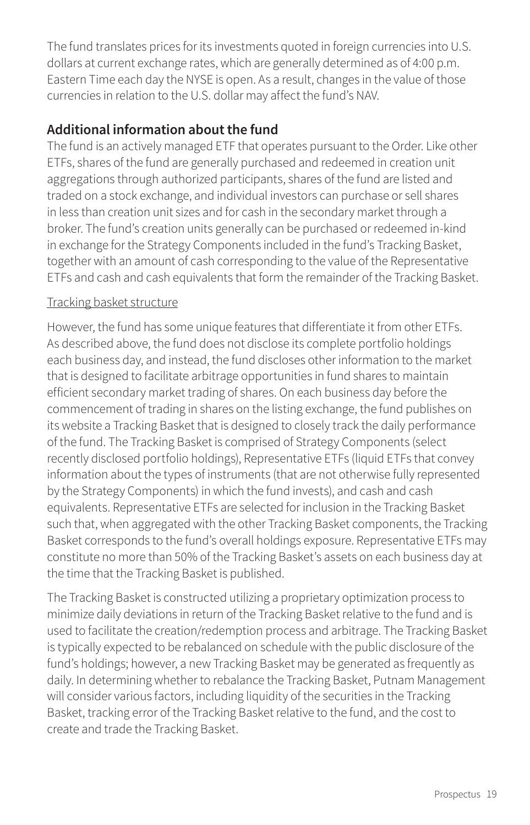The fund translates prices for its investments quoted in foreign currencies into U.S. dollars at current exchange rates, which are generally determined as of 4:00 p.m. Eastern Time each day the NYSE is open. As a result, changes in the value of those currencies in relation to the U.S. dollar may affect the fund's NAV.

## **Additional information about the fund**

The fund is an actively managed ETF that operates pursuant to the Order. Like other ETFs, shares of the fund are generally purchased and redeemed in creation unit aggregations through authorized participants, shares of the fund are listed and traded on a stock exchange, and individual investors can purchase or sell shares in less than creation unit sizes and for cash in the secondary market through a broker. The fund's creation units generally can be purchased or redeemed in-kind in exchange for the Strategy Components included in the fund's Tracking Basket, together with an amount of cash corresponding to the value of the Representative ETFs and cash and cash equivalents that form the remainder of the Tracking Basket.

#### Tracking basket structure

However, the fund has some unique features that differentiate it from other ETFs. As described above, the fund does not disclose its complete portfolio holdings each business day, and instead, the fund discloses other information to the market that is designed to facilitate arbitrage opportunities in fund shares to maintain efficient secondary market trading of shares. On each business day before the commencement of trading in shares on the listing exchange, the fund publishes on its website a Tracking Basket that is designed to closely track the daily performance of the fund. The Tracking Basket is comprised of Strategy Components (select recently disclosed portfolio holdings), Representative ETFs (liquid ETFs that convey information about the types of instruments (that are not otherwise fully represented by the Strategy Components) in which the fund invests), and cash and cash equivalents. Representative ETFs are selected for inclusion in the Tracking Basket such that, when aggregated with the other Tracking Basket components, the Tracking Basket corresponds to the fund's overall holdings exposure. Representative ETFs may constitute no more than 50% of the Tracking Basket's assets on each business day at the time that the Tracking Basket is published.

The Tracking Basket is constructed utilizing a proprietary optimization process to minimize daily deviations in return of the Tracking Basket relative to the fund and is used to facilitate the creation/redemption process and arbitrage. The Tracking Basket is typically expected to be rebalanced on schedule with the public disclosure of the fund's holdings; however, a new Tracking Basket may be generated as frequently as daily. In determining whether to rebalance the Tracking Basket, Putnam Management will consider various factors, including liquidity of the securities in the Tracking Basket, tracking error of the Tracking Basket relative to the fund, and the cost to create and trade the Tracking Basket.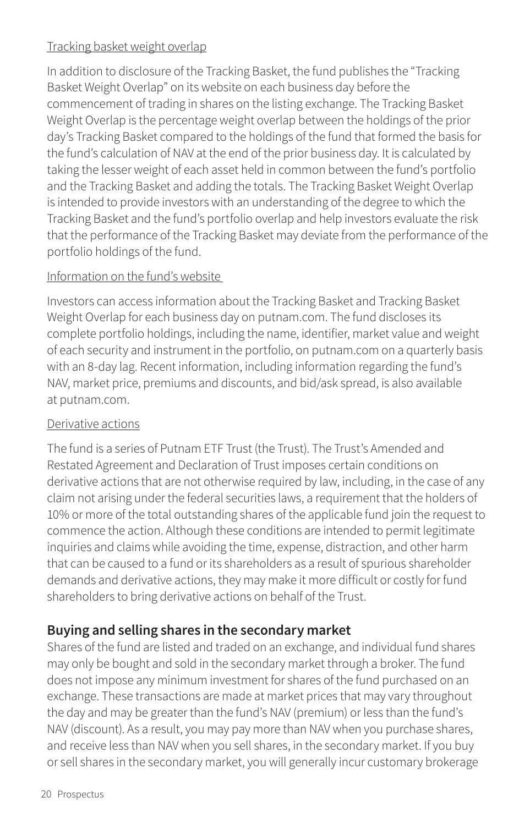#### Tracking basket weight overlap

In addition to disclosure of the Tracking Basket, the fund publishes the "Tracking Basket Weight Overlap" on its website on each business day before the commencement of trading in shares on the listing exchange. The Tracking Basket Weight Overlap is the percentage weight overlap between the holdings of the prior day's Tracking Basket compared to the holdings of the fund that formed the basis for the fund's calculation of NAV at the end of the prior business day. It is calculated by taking the lesser weight of each asset held in common between the fund's portfolio and the Tracking Basket and adding the totals. The Tracking Basket Weight Overlap is intended to provide investors with an understanding of the degree to which the Tracking Basket and the fund's portfolio overlap and help investors evaluate the risk that the performance of the Tracking Basket may deviate from the performance of the portfolio holdings of the fund.

#### Information on the fund's website

Investors can access information about the Tracking Basket and Tracking Basket Weight Overlap for each business day on [putnam.com.](https://www.putnam.com?ref=SP833.pdf) The fund discloses its complete portfolio holdings, including the name, identifier, market value and weight of each security and instrument in the portfolio, on [putnam.com](https://www.putnam.com/?ref=SP833.pdf) on a quarterly basis with an 8-day lag. Recent information, including information regarding the fund's NAV, market price, premiums and discounts, and bid/ask spread, is also available at [putnam.com.](https://www.putnam.com?ref=SP833.pdf)

#### Derivative actions

The fund is a series of Putnam ETF Trust (the Trust). The Trust's Amended and Restated Agreement and Declaration of Trust imposes certain conditions on derivative actions that are not otherwise required by law, including, in the case of any claim not arising under the federal securities laws, a requirement that the holders of 10% or more of the total outstanding shares of the applicable fund join the request to commence the action. Although these conditions are intended to permit legitimate inquiries and claims while avoiding the time, expense, distraction, and other harm that can be caused to a fund or its shareholders as a result of spurious shareholder demands and derivative actions, they may make it more difficult or costly for fund shareholders to bring derivative actions on behalf of the Trust.

# **Buying and selling shares in the secondary market**

Shares of the fund are listed and traded on an exchange, and individual fund shares may only be bought and sold in the secondary market through a broker. The fund does not impose any minimum investment for shares of the fund purchased on an exchange. These transactions are made at market prices that may vary throughout the day and may be greater than the fund's NAV (premium) or less than the fund's NAV (discount). As a result, you may pay more than NAV when you purchase shares, and receive less than NAV when you sell shares, in the secondary market. If you buy or sell shares in the secondary market, you will generally incur customary brokerage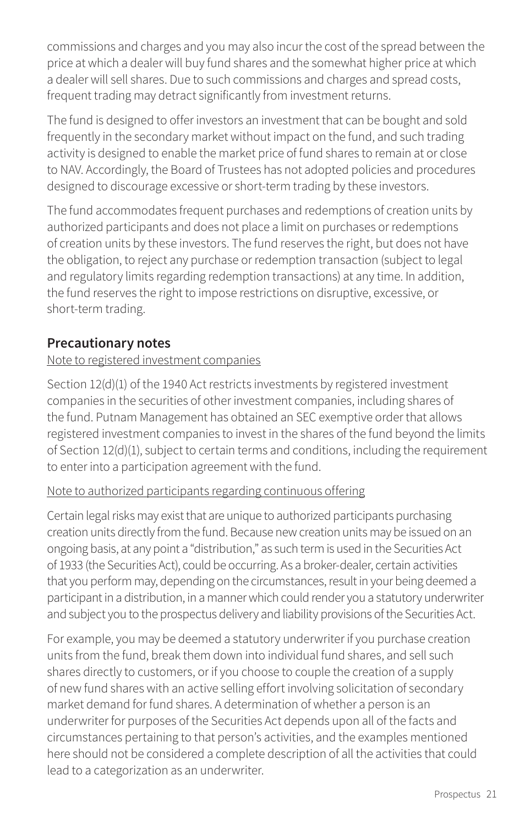commissions and charges and you may also incur the cost of the spread between the price at which a dealer will buy fund shares and the somewhat higher price at which a dealer will sell shares. Due to such commissions and charges and spread costs, frequent trading may detract significantly from investment returns.

The fund is designed to offer investors an investment that can be bought and sold frequently in the secondary market without impact on the fund, and such trading activity is designed to enable the market price of fund shares to remain at or close to NAV. Accordingly, the Board of Trustees has not adopted policies and procedures designed to discourage excessive or short-term trading by these investors.

The fund accommodates frequent purchases and redemptions of creation units by authorized participants and does not place a limit on purchases or redemptions of creation units by these investors. The fund reserves the right, but does not have the obligation, to reject any purchase or redemption transaction (subject to legal and regulatory limits regarding redemption transactions) at any time. In addition, the fund reserves the right to impose restrictions on disruptive, excessive, or short-term trading.

#### **Precautionary notes**

#### Note to registered investment companies

Section 12(d)(1) of the 1940 Act restricts investments by registered investment companies in the securities of other investment companies, including shares of the fund. Putnam Management has obtained an SEC exemptive order that allows registered investment companies to invest in the shares of the fund beyond the limits of Section 12(d)(1), subject to certain terms and conditions, including the requirement to enter into a participation agreement with the fund.

#### Note to authorized participants regarding continuous offering

Certain legal risks may exist that are unique to authorized participants purchasing creation units directly from the fund. Because new creation units may be issued on an ongoing basis, at any point a "distribution," as such term is used in the Securities Act of 1933 (the Securities Act), could be occurring. As a broker-dealer, certain activities that you perform may, depending on the circumstances, result in your being deemed a participant in a distribution, in a manner which could render you a statutory underwriter and subject you to the prospectus delivery and liability provisions of the Securities Act.

For example, you may be deemed a statutory underwriter if you purchase creation units from the fund, break them down into individual fund shares, and sell such shares directly to customers, or if you choose to couple the creation of a supply of new fund shares with an active selling effort involving solicitation of secondary market demand for fund shares. A determination of whether a person is an underwriter for purposes of the Securities Act depends upon all of the facts and circumstances pertaining to that person's activities, and the examples mentioned here should not be considered a complete description of all the activities that could lead to a categorization as an underwriter.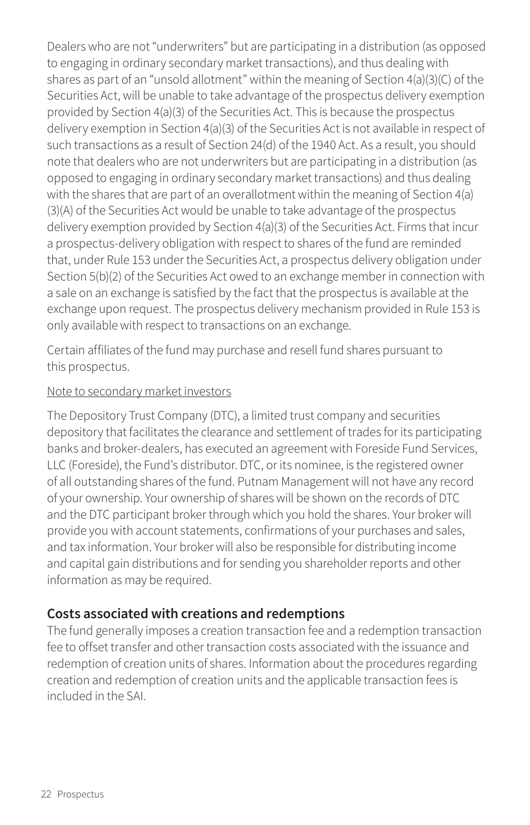Dealers who are not "underwriters" but are participating in a distribution (as opposed to engaging in ordinary secondary market transactions), and thus dealing with shares as part of an "unsold allotment" within the meaning of Section 4(a)(3)(C) of the Securities Act, will be unable to take advantage of the prospectus delivery exemption provided by Section 4(a)(3) of the Securities Act. This is because the prospectus delivery exemption in Section 4(a)(3) of the Securities Act is not available in respect of such transactions as a result of Section 24(d) of the 1940 Act. As a result, you should note that dealers who are not underwriters but are participating in a distribution (as opposed to engaging in ordinary secondary market transactions) and thus dealing with the shares that are part of an overallotment within the meaning of Section 4(a) (3)(A) of the Securities Act would be unable to take advantage of the prospectus delivery exemption provided by Section 4(a)(3) of the Securities Act. Firms that incur a prospectus-delivery obligation with respect to shares of the fund are reminded that, under Rule 153 under the Securities Act, a prospectus delivery obligation under Section 5(b)(2) of the Securities Act owed to an exchange member in connection with a sale on an exchange is satisfied by the fact that the prospectus is available at the exchange upon request. The prospectus delivery mechanism provided in Rule 153 is only available with respect to transactions on an exchange.

Certain affiliates of the fund may purchase and resell fund shares pursuant to this prospectus.

#### Note to secondary market investors

The Depository Trust Company (DTC), a limited trust company and securities depository that facilitates the clearance and settlement of trades for its participating banks and broker-dealers, has executed an agreement with Foreside Fund Services, LLC (Foreside), the Fund's distributor. DTC, or its nominee, is the registered owner of all outstanding shares of the fund. Putnam Management will not have any record of your ownership. Your ownership of shares will be shown on the records of DTC and the DTC participant broker through which you hold the shares. Your broker will provide you with account statements, confirmations of your purchases and sales, and tax information. Your broker will also be responsible for distributing income and capital gain distributions and for sending you shareholder reports and other information as may be required.

## **Costs associated with creations and redemptions**

The fund generally imposes a creation transaction fee and a redemption transaction fee to offset transfer and other transaction costs associated with the issuance and redemption of creation units of shares. Information about the procedures regarding creation and redemption of creation units and the applicable transaction fees is included in the SAI.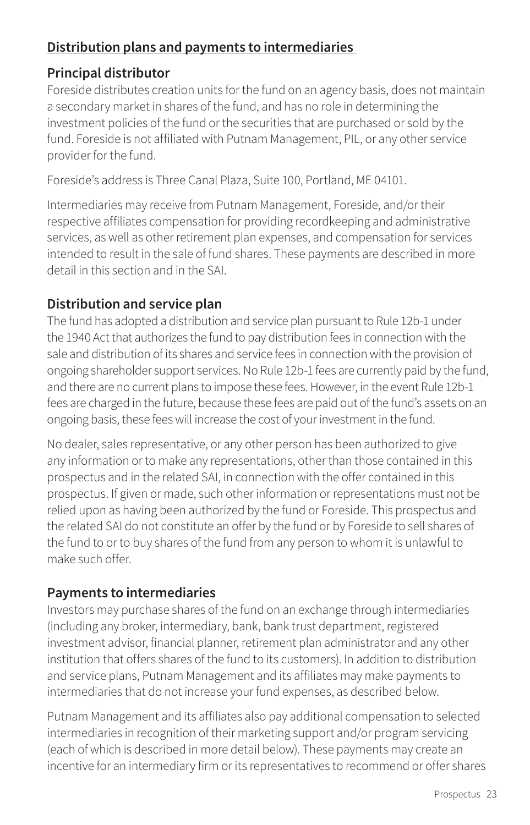# **Distribution plans and payments to intermediaries**

# **Principal distributor**

Foreside distributes creation units for the fund on an agency basis, does not maintain a secondary market in shares of the fund, and has no role in determining the investment policies of the fund or the securities that are purchased or sold by the fund. Foreside is not affiliated with Putnam Management, PIL, or any other service provider for the fund.

Foreside's address is Three Canal Plaza, Suite 100, Portland, ME 04101.

Intermediaries may receive from Putnam Management, Foreside, and/or their respective affiliates compensation for providing recordkeeping and administrative services, as well as other retirement plan expenses, and compensation for services intended to result in the sale of fund shares. These payments are described in more detail in this section and in the SAI.

# **Distribution and service plan**

The fund has adopted a distribution and service plan pursuant to Rule 12b-1 under the 1940 Act that authorizes the fund to pay distribution fees in connection with the sale and distribution of its shares and service fees in connection with the provision of ongoing shareholder support services. No Rule 12b-1 fees are currently paid by the fund, and there are no current plans to impose these fees. However, in the event Rule 12b-1 fees are charged in the future, because these fees are paid out of the fund's assets on an ongoing basis, these fees will increase the cost of your investment in the fund.

No dealer, sales representative, or any other person has been authorized to give any information or to make any representations, other than those contained in this prospectus and in the related SAI, in connection with the offer contained in this prospectus. If given or made, such other information or representations must not be relied upon as having been authorized by the fund or Foreside. This prospectus and the related SAI do not constitute an offer by the fund or by Foreside to sell shares of the fund to or to buy shares of the fund from any person to whom it is unlawful to make such offer.

## **Payments to intermediaries**

Investors may purchase shares of the fund on an exchange through intermediaries (including any broker, intermediary, bank, bank trust department, registered investment advisor, financial planner, retirement plan administrator and any other institution that offers shares of the fund to its customers). In addition to distribution and service plans, Putnam Management and its affiliates may make payments to intermediaries that do not increase your fund expenses, as described below.

Putnam Management and its affiliates also pay additional compensation to selected intermediaries in recognition of their marketing support and/or program servicing (each of which is described in more detail below). These payments may create an incentive for an intermediary firm or its representatives to recommend or offer shares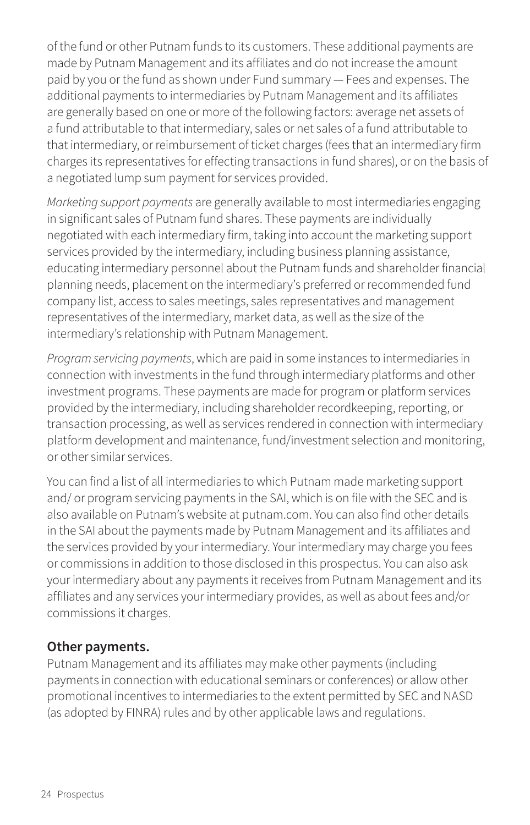of the fund or other Putnam funds to its customers. These additional payments are made by Putnam Management and its affiliates and do not increase the amount paid by you or the fund as shown under Fund summary — Fees and expenses. The additional payments to intermediaries by Putnam Management and its affiliates are generally based on one or more of the following factors: average net assets of a fund attributable to that intermediary, sales or net sales of a fund attributable to that intermediary, or reimbursement of ticket charges (fees that an intermediary firm charges its representatives for effecting transactions in fund shares), or on the basis of a negotiated lump sum payment for services provided.

*Marketing support payments* are generally available to most intermediaries engaging in significant sales of Putnam fund shares. These payments are individually negotiated with each intermediary firm, taking into account the marketing support services provided by the intermediary, including business planning assistance, educating intermediary personnel about the Putnam funds and shareholder financial planning needs, placement on the intermediary's preferred or recommended fund company list, access to sales meetings, sales representatives and management representatives of the intermediary, market data, as well as the size of the intermediary's relationship with Putnam Management.

*Program servicing payments*, which are paid in some instances to intermediaries in connection with investments in the fund through intermediary platforms and other investment programs. These payments are made for program or platform services provided by the intermediary, including shareholder recordkeeping, reporting, or transaction processing, as well as services rendered in connection with intermediary platform development and maintenance, fund/investment selection and monitoring, or other similar services.

You can find a list of all intermediaries to which Putnam made marketing support and/ or program servicing payments in the SAI, which is on file with the SEC and is also available on Putnam's website at [putnam.com.](https://www.putnam.com?ref=SP833.pdf) You can also find other details in the SAI about the payments made by Putnam Management and its affiliates and the services provided by your intermediary. Your intermediary may charge you fees or commissions in addition to those disclosed in this prospectus. You can also ask your intermediary about any payments it receives from Putnam Management and its affiliates and any services your intermediary provides, as well as about fees and/or commissions it charges.

#### **Other payments.**

Putnam Management and its affiliates may make other payments (including payments in connection with educational seminars or conferences) or allow other promotional incentives to intermediaries to the extent permitted by SEC and NASD (as adopted by FINRA) rules and by other applicable laws and regulations.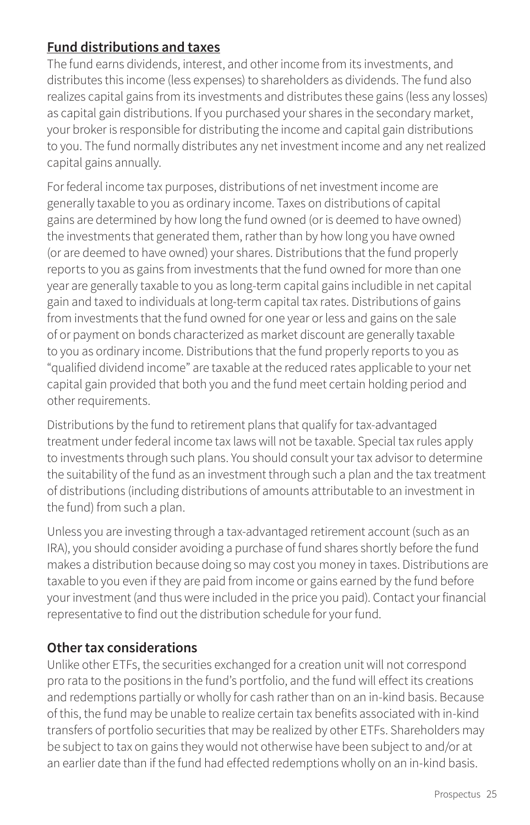## **Fund distributions and taxes**

The fund earns dividends, interest, and other income from its investments, and distributes this income (less expenses) to shareholders as dividends. The fund also realizes capital gains from its investments and distributes these gains (less any losses) as capital gain distributions. If you purchased your shares in the secondary market, your broker is responsible for distributing the income and capital gain distributions to you. The fund normally distributes any net investment income and any net realized capital gains annually.

For federal income tax purposes, distributions of net investment income are generally taxable to you as ordinary income. Taxes on distributions of capital gains are determined by how long the fund owned (or is deemed to have owned) the investments that generated them, rather than by how long you have owned (or are deemed to have owned) your shares. Distributions that the fund properly reports to you as gains from investments that the fund owned for more than one year are generally taxable to you as long-term capital gains includible in net capital gain and taxed to individuals at long-term capital tax rates. Distributions of gains from investments that the fund owned for one year or less and gains on the sale of or payment on bonds characterized as market discount are generally taxable to you as ordinary income. Distributions that the fund properly reports to you as "qualified dividend income" are taxable at the reduced rates applicable to your net capital gain provided that both you and the fund meet certain holding period and other requirements.

Distributions by the fund to retirement plans that qualify for tax-advantaged treatment under federal income tax laws will not be taxable. Special tax rules apply to investments through such plans. You should consult your tax advisor to determine the suitability of the fund as an investment through such a plan and the tax treatment of distributions (including distributions of amounts attributable to an investment in the fund) from such a plan.

Unless you are investing through a tax-advantaged retirement account (such as an IRA), you should consider avoiding a purchase of fund shares shortly before the fund makes a distribution because doing so may cost you money in taxes. Distributions are taxable to you even if they are paid from income or gains earned by the fund before your investment (and thus were included in the price you paid). Contact your financial representative to find out the distribution schedule for your fund.

## **Other tax considerations**

Unlike other ETFs, the securities exchanged for a creation unit will not correspond pro rata to the positions in the fund's portfolio, and the fund will effect its creations and redemptions partially or wholly for cash rather than on an in-kind basis. Because of this, the fund may be unable to realize certain tax benefits associated with in-kind transfers of portfolio securities that may be realized by other ETFs. Shareholders may be subject to tax on gains they would not otherwise have been subject to and/or at an earlier date than if the fund had effected redemptions wholly on an in-kind basis.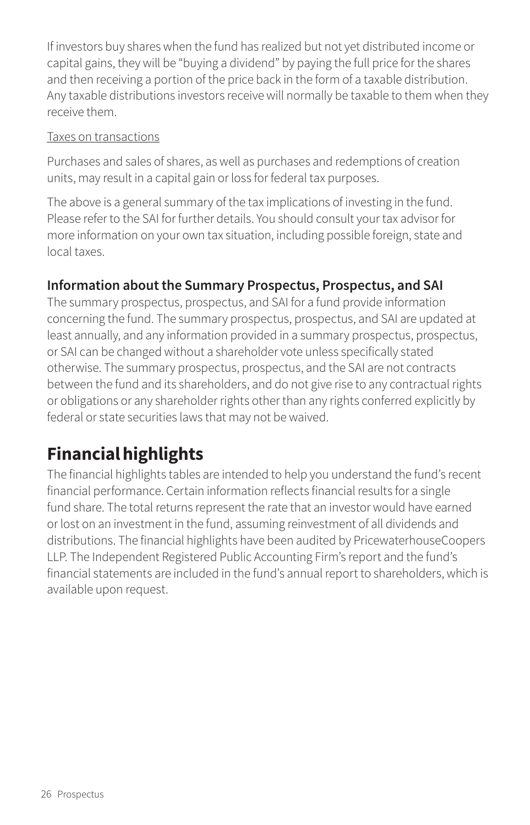If investors buy shares when the fund has realized but not yet distributed income or capital gains, they will be "buying a dividend" by paying the full price for the shares and then receiving a portion of the price back in the form of a taxable distribution. Any taxable distributions investors receive will normally be taxable to them when they receive them.

#### Taxes on transactions

Purchases and sales of shares, as well as purchases and redemptions of creation units, may result in a capital gain or loss for federal tax purposes.

The above is a general summary of the tax implications of investing in the fund. Please refer to the SAI for further details. You should consult your tax advisor for more information on your own tax situation, including possible foreign, state and local taxes.

# **Information about the Summary Prospectus, Prospectus, and SAI**

The summary prospectus, prospectus, and SAI for a fund provide information concerning the fund. The summary prospectus, prospectus, and SAI are updated at least annually, and any information provided in a summary prospectus, prospectus, or SAI can be changed without a shareholder vote unless specifically stated otherwise. The summary prospectus, prospectus, and the SAI are not contracts between the fund and its shareholders, and do not give rise to any contractual rights or obligations or any shareholder rights other than any rights conferred explicitly by federal or state securities laws that may not be waived.

# **Financial highlights**

The financial highlights tables are intended to help you understand the fund's recent financial performance. Certain information reflects financial results for a single fund share. The total returns represent the rate that an investor would have earned or lost on an investment in the fund, assuming reinvestment of all dividends and distributions. The financial highlights have been audited by PricewaterhouseCoopers LLP. The Independent Registered Public Accounting Firm's report and the fund's financial statements are included in the fund's annual report to shareholders, which is available upon request.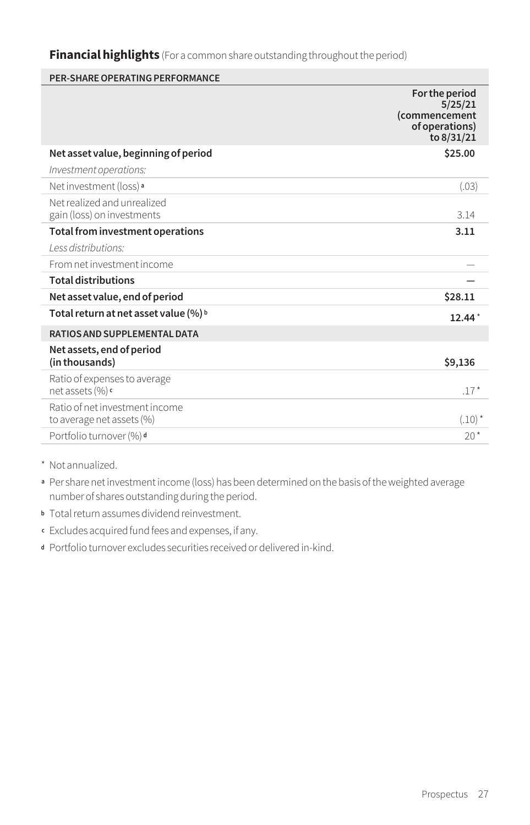#### **Financial highlights** (For a common share outstanding throughout the period)

#### **PER-SHARE OPERATING PERFORMANCE**

|                                                             | For the period<br>5/25/21<br>(commencement<br>of operations)<br>to 8/31/21 |
|-------------------------------------------------------------|----------------------------------------------------------------------------|
| Net asset value, beginning of period                        | \$25.00                                                                    |
| Investment operations:                                      |                                                                            |
| Net investment (loss) <sup>a</sup>                          | (.03)                                                                      |
| Net realized and unrealized<br>gain (loss) on investments   | 3.14                                                                       |
| Total from investment operations                            | 3.11                                                                       |
| Less distributions:                                         |                                                                            |
| From net investment income                                  |                                                                            |
| <b>Total distributions</b>                                  |                                                                            |
| Net asset value, end of period                              | \$28.11                                                                    |
| Total return at net asset value (%) b                       | $12.44*$                                                                   |
| RATIOS AND SUPPLEMENTAL DATA                                |                                                                            |
| Net assets, end of period<br>(in thousands)                 | \$9,136                                                                    |
| Ratio of expenses to average<br>net assets (%) c            | $.17*$                                                                     |
| Ratio of net investment income<br>to average net assets (%) | $(.10)^*$                                                                  |
| Portfolio turnover (%) d                                    | $20*$                                                                      |

\* Not annualized.

**<sup>a</sup>** Per share net investment income (loss) has been determined on the basis of the weighted average number of shares outstanding during the period.

**<sup>b</sup>** Total return assumes dividend reinvestment.

**<sup>c</sup>** Excludes acquired fund fees and expenses, if any.

**<sup>d</sup>** Portfolio turnover excludes securities received or delivered in-kind.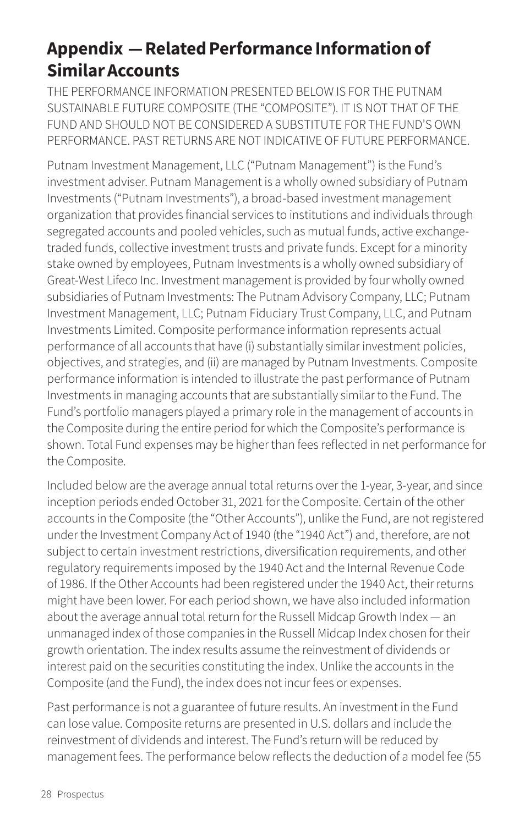# **Appendix — Related Performance Information of Similar Accounts**

THE PERFORMANCE INFORMATION PRESENTED BELOW IS FOR THE PUTNAM SUSTAINABLE FUTURE COMPOSITE (THE "COMPOSITE"). IT IS NOT THAT OF THE FUND AND SHOULD NOT BE CONSIDERED A SUBSTITUTE FOR THE FUND'S OWN PERFORMANCE. PAST RETURNS ARE NOT INDICATIVE OF FUTURE PERFORMANCE.

Putnam Investment Management, LLC ("Putnam Management") is the Fund's investment adviser. Putnam Management is a wholly owned subsidiary of Putnam Investments ("Putnam Investments"), a broad-based investment management organization that provides financial services to institutions and individuals through segregated accounts and pooled vehicles, such as mutual funds, active exchangetraded funds, collective investment trusts and private funds. Except for a minority stake owned by employees, Putnam Investments is a wholly owned subsidiary of Great-West Lifeco Inc. Investment management is provided by four wholly owned subsidiaries of Putnam Investments: The Putnam Advisory Company, LLC; Putnam Investment Management, LLC; Putnam Fiduciary Trust Company, LLC, and Putnam Investments Limited. Composite performance information represents actual performance of all accounts that have (i) substantially similar investment policies, objectives, and strategies, and (ii) are managed by Putnam Investments. Composite performance information is intended to illustrate the past performance of Putnam Investments in managing accounts that are substantially similar to the Fund. The Fund's portfolio managers played a primary role in the management of accounts in the Composite during the entire period for which the Composite's performance is shown. Total Fund expenses may be higher than fees reflected in net performance for the Composite.

Included below are the average annual total returns over the 1-year, 3-year, and since inception periods ended October 31, 2021 for the Composite. Certain of the other accounts in the Composite (the "Other Accounts"), unlike the Fund, are not registered under the Investment Company Act of 1940 (the "1940 Act") and, therefore, are not subject to certain investment restrictions, diversification requirements, and other regulatory requirements imposed by the 1940 Act and the Internal Revenue Code of 1986. If the Other Accounts had been registered under the 1940 Act, their returns might have been lower. For each period shown, we have also included information about the average annual total return for the Russell Midcap Growth Index — an unmanaged index of those companies in the Russell Midcap Index chosen for their growth orientation. The index results assume the reinvestment of dividends or interest paid on the securities constituting the index. Unlike the accounts in the Composite (and the Fund), the index does not incur fees or expenses.

Past performance is not a guarantee of future results. An investment in the Fund can lose value. Composite returns are presented in U.S. dollars and include the reinvestment of dividends and interest. The Fund's return will be reduced by management fees. The performance below reflects the deduction of a model fee (55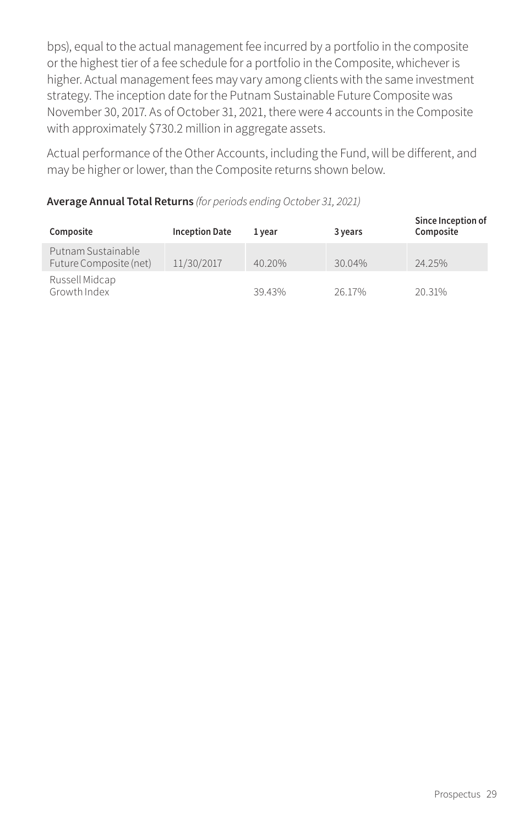bps), equal to the actual management fee incurred by a portfolio in the composite or the highest tier of a fee schedule for a portfolio in the Composite, whichever is higher. Actual management fees may vary among clients with the same investment strategy. The inception date for the Putnam Sustainable Future Composite was November 30, 2017. As of October 31, 2021, there were 4 accounts in the Composite with approximately \$730.2 million in aggregate assets.

Actual performance of the Other Accounts, including the Fund, will be different, and may be higher or lower, than the Composite returns shown below.

#### **Composite Inception Date 1 year 3 years Since Inception of Composite** Putnam Sustainable Future Composite (net) 11/30/2017 40.20% 30.04% 24.25% Russell Midcap Growth Index 39.43% 26.17% 20.31%

#### **Average Annual Total Returns** *(for periods ending October 31, 2021)*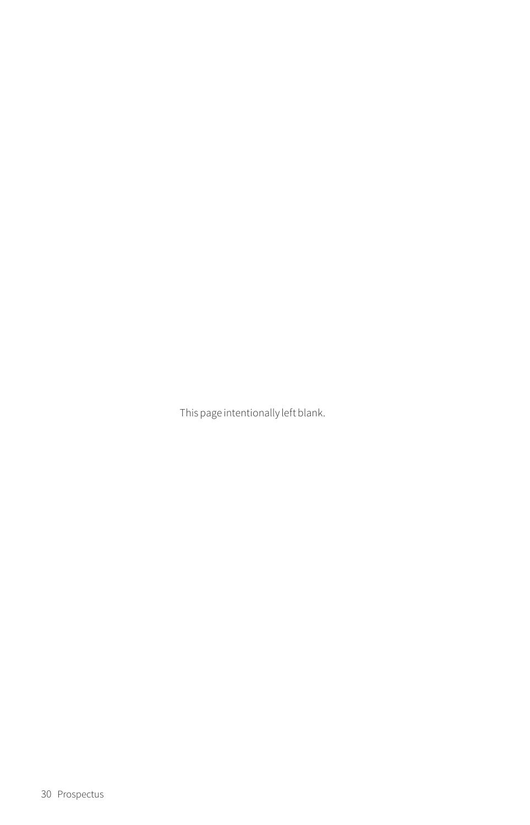This page intentionally left blank.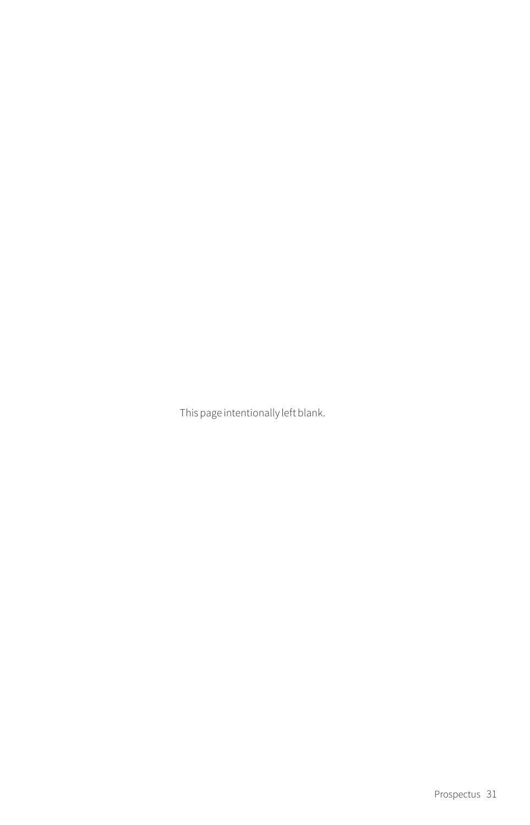This page intentionally left blank.